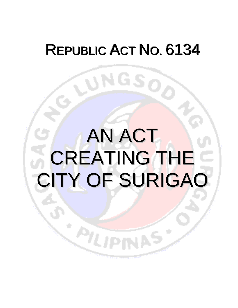## REPUBLIC ACT NO. 6134

ONGS,

# AN ACT CREATING THE CITY OF SURIGAO

्ले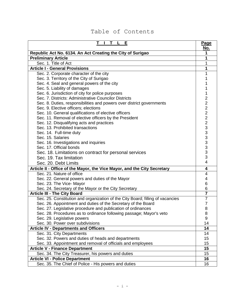### Table of Contents

| Е                                                                              | Page                    |
|--------------------------------------------------------------------------------|-------------------------|
| Republic Act No. 6134. An Act Creating the City of Surigao                     | <u>No.</u><br>1         |
| <b>Preliminary Article</b>                                                     | 1                       |
| Sec. 1. Title of Act                                                           | 1                       |
| <b>Article I - General Provisions</b>                                          | 1                       |
| Sec. 2. Corporate character of the city                                        | 1                       |
| Sec. 3. Territory of the City of Surigao                                       |                         |
| Sec. 4. Seal and general powers of the city                                    |                         |
| Sec. 5. Liability of damages                                                   |                         |
| Sec. 6. Jurisdiction of city for police purposes                               | 1                       |
| Sec. 7. Districts: Administrative Councilor Districts                          | 2                       |
| Sec. 8. Duties, responsibilities and powers over district governments          | $\overline{\mathbf{c}}$ |
| Sec. 9. Elective officers; elections                                           |                         |
| Sec. 10. General qualifications of elective officers                           |                         |
| Sec. 11. Removal of elective officers by the President                         |                         |
| Sec. 12. Disqualifying acts and practices                                      |                         |
| Sec. 13. Prohibited transactions                                               |                         |
| Sec. 14. Full-time duty                                                        |                         |
| Sec. 15. Salaries                                                              |                         |
| Sec. 16. Investigations and inquiries                                          |                         |
| Sec. 17. Official bonds                                                        |                         |
| Sec. 18. Limitations on contract for personal services                         | 222233333333            |
| Sec. 19. Tax limitation                                                        |                         |
| Sec. 20. Debt Limits                                                           | $\overline{4}$          |
| Article II - Office of the Mayor, the Vice Mayor, and the City Secretary       | 4                       |
| Sec. 21. Nature of office                                                      | 4                       |
| Sec. 22. General powers and duties of the Mayor                                | 4                       |
| Sec. 23. The Vice- Mayor                                                       | 6                       |
| Sec. 24. Secretary of the Mayor or the City Secretary                          | 6                       |
| <b>Article III - The City Board</b>                                            | $\overline{\mathbf{7}}$ |
| Sec. 25. Constitution and organization of the City Board; filling of vacancies | $\overline{7}$          |
| Sec. 26. Appointment and duties of the Secretary of the Board                  | $\overline{7}$          |
| Sec. 27. Legislative procedure and publication of ordinances                   | 8                       |
| Sec. 28. Procedures as to ordinance following passage; Mayor's veto            | 8                       |
| Sec. 29. Legislative powers<br>Sec. 30. Power over subdivisions                | 9<br>14                 |
| <b>Article IV - Departments and Officers</b>                                   | 14                      |
| Sec. 31. City Departments                                                      | 14                      |
| Sec. 32. Powers and duties of heads and departments                            | 15                      |
| Sec. 33. Appointment and removal of officials and employees                    | 15                      |
| <b>Article V - Finance Department</b>                                          | 15                      |
| Sec. 34. The City Treasurer, his powers and duties                             | 15                      |
| <b>Article VI - Police Department</b>                                          | 16                      |
| Sec. 35. The Chief of Police - His powers and duties                           | 16                      |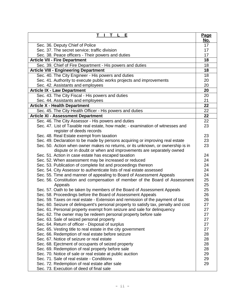| E                                                                                   | Page       |
|-------------------------------------------------------------------------------------|------------|
|                                                                                     | <u>No.</u> |
| Sec. 36. Deputy Chief of Police                                                     | 17         |
| Sec. 37. The secret service; traffic division                                       | 17         |
| Sec. 38. Peace officers - Their powers and duties                                   | 17         |
| <b>Article VII - Fire Department</b>                                                | 18         |
| Sec. 39. Chief of Fire Department - His powers and duties                           | 18         |
| <b>Article VIII - Engineering Department</b>                                        | 18         |
| Sec. 40. The City Engineer - His powers and duties                                  | 18         |
| Sec. 41. Authority to execute public works projects and improvements                | 20         |
| Sec. 42. Assistants and employees                                                   | 20         |
| <b>Article IX - Law Department</b>                                                  | 20         |
| Sec. 43. The City Fiscal - His powers and duties                                    | 20         |
| Sec. 44. Assistants and employees                                                   | 21         |
| <b>Article X - Health Department</b>                                                | 22         |
| Sec. 45. The City Health Officer - His powers and duties                            | 22         |
| <b>Article XI - Assessment Department</b>                                           | 22         |
| Sec. 46. The City Assessor - His powers and duties                                  | 22         |
| Sec. 47. List of Taxable real estate, how made; - examination of witnesses and      | 23         |
| register of deeds records                                                           |            |
| Sec. 48. Real Estate exempt from taxation                                           | 23         |
| Sec. 49. Declaration to be made by persons acquiring or improving real estate       | 23         |
| Sec. 50. Action when owner makes no returns, or its unknown, or ownership is in     | 23         |
| dispute or in doubt or when and improvements are separately owned                   |            |
| Sec. 51. Action in case estate has escaped taxation                                 | 24         |
| Sec. 52. When assessment may be increased or reduced                                | 24         |
| Sec. 53. Publication of complete list and proceedings thereon                       | 24         |
| Sec. 54. City Assessor to authenticate lists of real estate assessed                | 24         |
| Sec. 55. Time and manner of appealing to Board of Assessment Appeals                | 24         |
| Sec. 56. Constitution and compensation of member of the Board of Assessment         | 25         |
| Appeals                                                                             | 25         |
| Sec. 57. Oath to be taken by members of the Board of Assessment Appeals             | 25         |
| Sec. 58. Proceedings before the Board of Assessment Appeals                         | 26         |
| Sec. 59. Taxes on real estate - Extension and remission of the payment of tax       | 26         |
| Sec. 60. Seizure of delinquent's personal property to satisfy tax, penalty and cost | 27         |
| Sec. 61. Personal property exempt from seizure and sale for delinguency             | 27         |
| Sec. 62. The owner may be redeem personal property before sale                      | 27         |
| Sec. 63. Sale of seized personal property                                           | 27         |
| Sec. 64. Return of officer - Disposal of surplus                                    | 27         |
| Sec. 65. Vesting title to real estate in the city government                        | 27         |
| Sec. 66. Redemption of real estate before seizure                                   | 28         |
| Sec. 67. Notice of seizure or real estate                                           | 28         |
| Sec. 68. Ejectment of occupants of seized property                                  | 28         |
| Sec. 69. Redemption of real property before sale                                    | 28         |
| Sec. 70. Notice of sale or real estate at public auction                            | 29         |
| Sec. 71. Sale of real estate - Conditions                                           | 29         |
| Sec. 72. Redemption of real estate after sale                                       | 29         |
| Sec. 73. Execution of deed of final sale                                            |            |
|                                                                                     |            |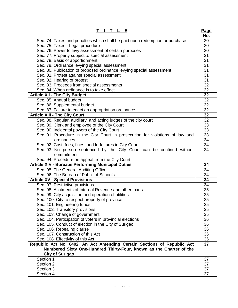| E                                                                             | <u>Page</u> |
|-------------------------------------------------------------------------------|-------------|
|                                                                               | <u>No.</u>  |
| Sec. 74. Taxes and penalties which shall be paid upon redemption or purchase  | 30          |
| Sec. 75. Taxes - Legal procedure                                              | 30          |
| Sec. 76. Power to levy assessment of certain purposes                         | 30          |
| Sec. 77. Property subject to special assessment                               | 31          |
| Sec. 78. Basis of apportionment                                               | 31          |
| Sec. 79. Ordinance levying special assessment                                 | 31          |
| Sec. 80. Publication of proposed ordinance levying special assessment         | 31          |
| Sec. 81. Protest against special assessment                                   | 31          |
| Sec. 82. Hearing of protest                                                   | 31          |
| Sec. 83. Proceeds from special assessments                                    | 32          |
| Sec. 84. When ordinance is to take effect                                     | 32          |
| <b>Article XII - The City Budget</b>                                          | 32          |
| Sec. 85. Annual budget                                                        | 32          |
| Sec. 86. Supplemental budget                                                  | 32          |
| Sec. 87. Failure to enact an appropriation ordinance                          | 32          |
| <b>Article XIII - The City Court</b>                                          | 32          |
| Sec. 88. Regular, auxiliary, and acting judges of the city court              | 32          |
| Sec. 89. Clerk and employee of the City Court                                 | 33          |
| Sec. 90. Incidental powers of the City Court                                  | 33          |
| Sec. 91. Procedure in the City Court in prosecution for violations of law and | 33          |
| ordinances                                                                    | 34          |
| Sec. 92. Cost, fees, fines, and forfeitures in City Court                     | 34          |
| Sec. 93. No person sentenced by the City Court can be confined without        | 34          |
| commitment                                                                    |             |
| Sec. 94. Procedure on appeal from the City Court                              |             |
| <b>Article XIV - Bureaus Performing Municipal Duties</b>                      | 34          |
| Sec. 95. The General Auditing Office                                          | 34          |
| Sec. 96. The Bureau of Public of Schools                                      | 34          |
| <b>Article XV - Special Provisions</b>                                        | 34          |
| Sec. 97. Restrictive provisions                                               | 34          |
| Sec. 98. Allotments of Internal Revenue and other taxes                       | 35          |
| Sec. 99. City acquisition and operation of utilities                          | 35          |
| Sec. 100. City to respect property of province                                | 35          |
| Sec. 101. Engineering funds                                                   | 35          |
| Sec. 102. Transitory provisions                                               | 35          |
| Sec. 103. Change of government                                                | 35          |
| Sec. 104. Participation of voters in provincial elections                     | 36          |
| Sec. 105. Conduct of election in the City of Surigao                          | 36          |
| Sec. 106. Repealing clause                                                    | 36          |
| Sec. 107. Construction of this Act                                            | 36          |
| Sec. 108. Effectivity of this Act                                             | 36          |
| Republic Act No. 6402. An Act Amending Certain Sections of Republic Act       | 37          |
| Numbered Sixty One-Hundred Thirty-Four, known as the Charter of the           |             |
| <b>City of Surigao</b>                                                        |             |
| Section 1                                                                     | 37          |
| Section 2                                                                     | 37          |
| Section 3                                                                     | 37          |
| Section 4                                                                     | 37          |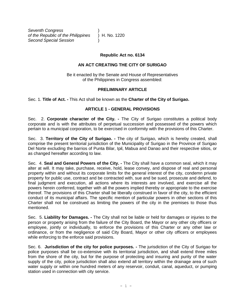*Seventh Congress* ) *of the Republic of the Philippines* ) H. No. 1220 *Second Special Session* )

#### **Republic Act no. 6134**

#### **AN ACT CREATING THE CITY OF SURIGAO**

Be it enacted by the Senate and House of Representatives of the Philippines in Congress assembled:

#### **PRELIMINARY ARTICLE**

Sec. 1. **Title of Act. -** This Act shall be known as the **Charter of the City of Surigao.**

#### **ARTICLE 1 - GENERAL PROVISIONS**

Sec. 2. **Corporate character of the City. -** The City of Surigao constitutes a political body corporate and is with the attributes of perpetual succession and possessed of the powers which pertain to a municipal corporation, to be exercised in conformity with the provisions of this Charter.

Sec. 3. **Territory of the City of Surigao. -** The city of Surigao, which is hereby created, shall comprise the present territorial jurisdiction of the Municipality of Surigao in the Province of Surigao Del Norte excluding the barrios of Punta Bilar, Ipil, Mabua and Danao and their respective sitios, or as changed hereafter according to law.

Sec. 4. **Seal and General Powers of the City. -** The City shall have a common seal, which it may alter at will. It may take, purchase, receive, hold, lease convey, and dispose of real and personal property within and without its corporate limits for the general interest of the city, condemn private property for public use, contract and be contracted with, sue and be sued, prosecute and defend, to final judgment and execution, all actions where its interests are involved, and exercise all the powers herein conferred, together with all the powers implied thereby or appropriate to the exercise thereof. The provisions of this Charter shall be liberally construed in favor of the city, to the efficient conduct of its municipal affairs. The specific mention of particular powers in other sections of this Charter shall not be construed as limiting the powers of the city in the premises to those thus mentioned.

Sec. 5. **Liability for Damages. -** The City shall not be liable or held for damages or injuries to the person or property arising from the failure of the City Board, the Mayor or any other city officers or employee, jointly or individually, to enforce the provisions of this Charter or any other law or ordinance, or from the negligence of said City Board, Mayor or other city officers or employees while enforcing to the enforce said provisions.

Sec. 6.**Jurisdiction of the city for police purposes. -** The jurisdiction of the City of Surigao for police purposes shall be co-extensive with its territorial jurisdiction, and shall extend three miles from the shore of the city, but for the purpose of protecting and insuring and purity of the water supply of the city, police jurisdiction shall also extend all territory within the drainage area of such water supply or within one hundred meters of any reservoir, conduit, canal, aqueduct, or pumping station used in connection with city service.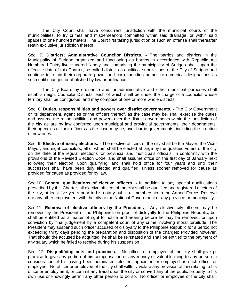The City Court shall have concurrent jurisdiction with the municipal courts of the municipalities, to try crimes and misdemeanors committed within said drainage, or within said spaces of one hundred meters. The Court first taking jurisdiction of such an offense shall thereafter retain exclusive jurisdiction thereof.

Sec. 7. **Districts; Administrative Councilor Districts. -** The barrios and districts in the Municipality of Surigao organized and functioning as barrios in accordance with Republic Act Numbered Thirty-five Hundred Ninety and comprising the municipality of Surigao shall, upon the effective date of this Charter, be called districts as political subdivisions of the City of Surigao and continue to retain their corporate power and corresponding names or numerical designations as such until changed or abolished by law or ordinance.

 The City Board by ordinance and for administrative and other municipal purposes shall establish eight Councilor Districts, each of which shall be under the charge of a councilor whose territory shall be contiguous, and may compose of one or more whole districts.

Sec. 8. **Duties, responsibilities and powers over district governments. -** The City Government or its department, agencies or the officers thereof, as the case may be, shall exercise the duties and assume the responsibilities and powers over the district governments within the jurisdiction of the city as are by law conferred upon municipal and provincial governments, their departments, their agencies or their officers as the case may be, over barrio governments; including the creation of new ones.

Sec. 9. **Elective officers; elections. -** The elective officers of the city shall be the Mayor, the Vice-Mayor, and eight councilors, all of whom shall be elected at large by the qualified voters of the city on the date of the regular elections for provincial and municipals officials, in conformity with the provisions of the Revised Election Code, and shall assume office on the first day of January next following their election, upon qualifying, and shall hold office for four years and until their successors shall have been duly elected and qualified, unless sooner removed for cause as provided for cause as provided for by law.

Sec.10. **General qualifications of elective officers. -** In addition to any special qualifications prescribed by this Charter, all elective officers of the city shall be qualified and registered electors of the city, at least five years prior to his notary public or membership in the Armed Forces Reserve nor any other employment with the city or the National Government or any province or municipality.

Sec.11. **Removal of elective officers by the President. -** Any elective city officers may be removed by the President of the Philippines on proof of disloyalty to the Philippine Republic, but shall be entitled as a matter of right to notice and hearing before he may be removed, or upon conviction by final judgement by a competent court of any crime involving moral turpitude. The President may suspend such officer accused of disloyalty to the Philippine Republic for a period not exceeding thirty days pending the preparation and disposition of the charges: Provided however, That should the accused be acquitted, he shall be reinstated and shall be entitled to the payment of any salary which he failed to receive during his suspension

Sec. 12. **Disqualifying acts and practices. -** No officer or employee of the city shall give pr promise to give any portion of his compensation or any money or valuable thing to any person in consideration of his having been nominated, elected, appointed or employed as such officer or employee. No officer or employee of the city shall willfully violate any provision of law relating to his office or employment, or commit any fraud upon the city or convert any of the public property to his own use or knowingly permit any other person to do so. No officer or employee of the city shall,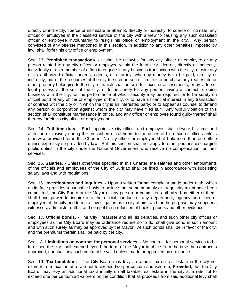directly or indirectly, coerce or intimidate or attempt, directly or indirectly, to coerce or intimate, any officer or employee in the classified service of the city with a view to causing any such classified officer or employee involuntarily to resign his office or employment in the city. Any person convicted of any offense mentioned in this section, in addition to any other penalties imposed by law, shall forfeit his city office or employment.

Sec. 13. **Prohibited transactions. -** It shall be unlawful for any city officer or employee or any person related to any city officer or employee within the fourth civil degree, directly or indirectly, individually or as a member of a firm to engage in any business transaction with the city; or with any of its authorized official, boards, agents, or attorney, whereby money is to be paid, directly or indirectly, out of the resources of the city to such person or firm; or to purchase any real estate or other property belonging to the city, or which shall be sold for taxes or assessments, or by virtue of legal process at the suit of the city; or to be surety for any person having a contact or doing business with the city, for the performance of which security may be required; or to be surety on official bond of any officer or employee of the city; or to have a financial interest in any transaction or contract with the city or in which the city is an interested party; or to appear as counsel to defend any person or corporation against whom the city may have filed suit. Any willful violation of this section shall constitute malfeasance in office, and any officer or employee found guilty thereof shall thereby forfeit his city office or employment.

Sec. 14. **Full-time duty. -** Each appointive city officer and employee shall devote his time and attention exclusively during the prescribed office hours to the duties of his office or offices unless otherwise provided for in this Charter. No city officer or employee shall hold more than one office unless expressly so provided by law. But this section shall not apply to other persons discharging public duties in the city under the National Government who receive no compensation for their services.

Sec. 15. **Salaries. -** Unless otherwise specified in this Charter, the salaries and other emoluments of the officials and employees of the City of Surigao shall be fixed in accordance with subsisting salary laws and with regulations.

Sec. 16. **Investigations and inquiries. -** Upon a written formal complaint made under oath, which on its face provides reasonable basis to believe that some anomaly or irregularity might have been committed, the City Board or the Mayor or any person or committee authorized by either of them, shall have power to inquire into the official conduct of any department, agency or officer or employee of the city and to make investigation as to city affairs, and for the purpose may subpoena witnesses, administer oaths, and compel the production of books, papers and other evidence.

Sec. 17. **Official bonds. -** The City Treasurer and all his deputies, and such other city offices or employees as the City Board may be ordinance require so to do, shall give bond in such amount and with such surety as may be approved by the Mayor. Al such bonds shall be in favor of the city; and the premiums therein shall be paid by the city.

Sec. 18. **Limitations on contract for personal services. -** No contract for personal services to be furnished the city shall extend beyond the term of the Mayor in office from the time the contract is approved; nor shall any such contract be valid unless made or approved by ordinance.

Sec. 19. **Tax Limitation. -** The City Board may levy an annual tax on real estate in the city not exempt from taxation at a rate not to exceed two per centum and valorem; **Provided**, that the City Board, may levy an additional tax annually on all taxable real estate in the city at a rate not to exceed one per centum ad valorem on the condition that all proceeds from said additional levy shall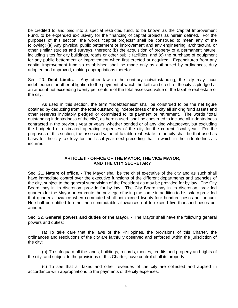be credited to and paid into a special restricted fund, to be known as the Capital Improvement Fund, to be expended exclusively for the financing of capital projects as herein defined. For the purposes of this section, the words "capital projects" shall be construed to mean any of the following: (a) Any physical public betterment or improvement and any engineering, architectural or other similar studies and surveys, thereon; (b) the acquisition of property of a permanent nature, including sites for city buildings, roads or other public facilities; and (c) the purchase of equipment for any public betterment or improvement when first erected or acquired. Expenditures from any capital improvement fund so established shall be made only as authorized by ordinances, duly adopted and approved, making appropriations therefor.

Sec. 20. **Debt Limits. -** Any other law to the contrary notwithstanding, the city may incur indebtedness or other obligation to the payment of which the faith and credit of the city is pledged at an amount not exceeding twenty per centum of the total assessed value of the taxable real estate of the city.

As used in this section, the term "indebtedness" shall be construed to be the net figure obtained by deducting from the total outstanding indebtedness of the city all sinking fund assets and other reserves inviolably pledged or committed to its payment or retirement. The words "total outstanding indebtedness of the city", as herein used, shall be construed to include all indebtedness contracted in the previous year or years, whether bonded or of any kind whatsoever, but excluding the budgeted or estimated operating expenses of the city for the current fiscal year. For the purposes of this section, the assessed value of taxable real estate in the city shall be that used as basis for the city tax levy for the fiscal year next preceding that in which in the indebtedness is incurred.

#### **ARTICLE II - OFFICE OF THE MAYOR, THE VICE MAYOR, AND THE CITY SECRETARY**

Sec. 21. **Nature of office. -** The Mayor shall be the chief executive of the city and as such shall have immediate control over the executive functions of the different departments and agencies of the city, subject to the general supervision of the President as may be provided for by law. The City Board may in its discretion, provide for by law. The City Board may in its discretion, provided quarters for the Mayor or commute the privilege of using the same in addition to his salary provided that quarter allowance when commuted shall not exceed twenty-four hundred pesos per annum. He shall be entitled to other non-commutable allowances not to exceed five thousand pesos per annum.

Sec. 22. **General powers and duties of the Mayor. -** The Mayor shall have the following general powers and duties:

(a) To take care that the laws of the Philippines, the provisions of this Charter, the ordinances and resolutions of the city are faithfully observed and enforced within the jurisdiction of the city;

(b) To safeguard all the lands, buildings, records, monies, credits and property and rights of the city, and subject to the provisions of this Charter, have control of all its property;

(c) To see that all taxes and other revenues of the city are collected and applied in accordance with appropriations to the payments of the city expenses;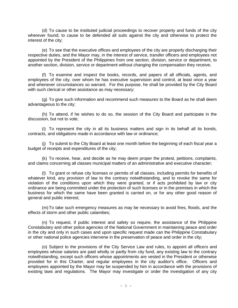(d) To cause to be instituted judicial proceedings to recover property and funds of the city wherever found; to cause to be defended all suits against the city and otherwise to protect the interest of the city;

(e) To see that the executive offices and employees of the city are properly discharging their respective duties, and the Mayor may, in the interest of service, transfer officers and employees not appointed by the President of the Philippines from one section, division, service or department, to another section, division, service or department without changing the compensation they receive;

(f) To examine and inspect the books, records, and papers of all officials, agents, and employees of the city, over whom he has executive supervision and control, at least once a year and whenever circumstances so warrant. For this purpose, he shall be provided by the City Board with such clerical or other assistance as may necessary;

(g) To give such information and recommend such measures to the Board as he shall deem advantageous to the city;

(h) To attend, if he wishes to do so, the session of the City Board and participate in the discussion, but not to vote;

(i) To represent the city in all its business matters and sign in its behalf all its bonds, contracts, and obligations made in accordance with law or ordinance;

(j) To submit to the City Board at least one month before the beginning of each fiscal year a budget of receipts and expenditures of the city;

(k) To receive, hear, and decide as he may deem proper the protest, petitions, complaints, and claims concerning all classes municipal matters of an administrative and executive character;

(l) To grant or refuse city licenses or permits of all classes, including permits for benefits of whatever kind, any provision of law to the contrary notwithstanding, and to revoke the same for violation of the conditions upon which they were granted, or if acts prohibited by law or city ordinance are being committed under the protection of such licenses or in the premises in which the business for which the same have been granted is carried on, or for any other good reason of general and public interest;

(m)To take such emergency measures as may be necessary to avoid fires, floods, and the effects of storm and other public calamities;

(n) To request, if public interest and safety so require, the assistance of the Philippine Constabulary and other police agencies of the National Government in maintaining peace and order in the city and only in such cases and upon specific request made can the Philippine Constabulary or other national police agencies intervene in the preservation of peace and order in the city;

(o) Subject to the provisions of the City Service Law and rules, to appoint all officers and employees whose salaries are paid wholly or partly from city fund, any existing law to the contrary notwithstanding, except such officers whose appointments are vested in the President or otherwise provided for in this Charter, and regular employees in the city auditor's office. Officers and employees appointed by the Mayor may be suspended by him in accordance with the provisions of existing laws and regulations. The Mayor may investigate or order the investigation of any city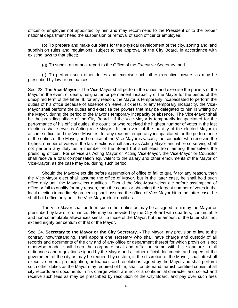officer or employee not appointed by him and may recommend to the President or to the proper national department head the suspension or removal of such officer or employee;

(p) To prepare and make out plans for the physical development of the city, zoning and land subdivision rules and regulations, subject to the approval of the City Board, in accordance with existing laws to that effect;

(q) To submit an annual report to the Office of the Executive Secretary; and

(r) To perform such other duties and exercise such other executive powers as may be prescribed by law or ordinances.

Sec. 23. **The Vice-Mayor. -** The Vice-Mayor shall perform the duties and exercise the powers of the Mayor in the event of death, resignation or permanent incapacity of the Mayor for the period of the unexpired term of the latter. If, for any reason, the Mayor is temporarily incapacitated to perform the duties of his office because of absence on leave, sickness, or any temporary incapacity, the Vice-Mayor shall perform the duties and exercise the powers that may be delegated to him in writing by the Mayor, during the period of the Mayor's temporary incapacity or absence. The Vice-Mayor shall be the presiding officer of the City Board. If the Vice-Mayor is temporarily incapacitated for the performance of his official duties, the councilor who received the highest number of votes in the last elections shall serve as Acting Vice-Mayor. In the event of the inability of the elected Mayor to assume office, and the Vice-Mayor is, for any reason, temporarily incapacitated for the performance of the duties of the Mayor, or the office of the Vice-Mayor is vacant, the councilor who received the highest number of votes in the last elections shall serve as Acting Mayor and while so serving shall not perform any duty as a member of the Board but shall elect from among themselves the presiding officer. For service as Acting Mayor or Acting Vice-Mayor, the Vice-Mayor or Councilor shall receive a total compensation equivalent to the salary and other emoluments of the Mayor or Vice-Mayor, as the case may be, during such period.

Should the Mayor-elect die before assumption of office of fail to qualify for any reason, then the Vice-Mayor elect shall assume the office of Mayor, but in the latter case, he shall hold such office only until the Mayor-elect qualifies. Should the Vice-Mayor-elect die before assumption of office or fail to qualify for any reason, then the councilor obtaining the largest number of votes in the local election immediately preceding shall assume the office of Vice-Mayor bit in the latter case, he shall hold office only until the Vice-Mayor-elect qualifies.

The Vice-Mayor shall perform such other duties as may be assigned to him by the Mayor or prescribed by law or ordinance. He may be provided by the City Board with quarters, commutable and non-commutable allowances similar to those of the Mayor, but the amount of the latter shall not exceed eighty per centum of that of the Mayor.

Sec. 24. **Secretary to the Mayor or the City Secretary. -** The Mayor, any provision of law to the contrary notwithstanding, shall appoint one secretary who shall have charge and custody of all records and documents of the city and of any office or department thereof for which provision is not otherwise made; shall keep the corporate seal and affix the same with his signature to all ordinances and regulations signed by the Mayor and all other official documents and papers of the government of the city as may be required by custom, in the discretion of the Mayor; shall attest all executive orders, promulgation, ordinances and resolutions signed by the Mayor and shall perform such other duties as the Mayor may required of him; shall, on demand, furnish certified copies of all city records and documents in his charge which are not of a confidential character and collect and receive such fees as may be prescribed by resolution of the City Board, and pay over such fees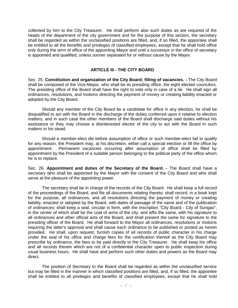collected by him to the City Treasurer. He shall perform also such duties as are required of the heads of the department of the city government and for the purpose of this section, the secretary shall be regarded as within the unclassified positions are filled, and, if so filled, the appointee shall be entitled to all the benefits and privileges of classified employees, except that he shall hold office only during the term of office of the appointing Mayor and until a successor in the office of secretary is appointed and qualified, unless sooner separated for or without cause by the Mayor.

#### **ARTICLE III - THE CITY BOARD**

Sec. 25. **Constitution and organization of the City Board; filling of vacancies. -** The City Board shall be composed of the Vice-Mayor, who shall be its presiding office, the eight elected councilors. The presiding office of the Board shall have the right to vote only in case of a tie. He shall sign all ordinances, resolutions, and motions directing the payment of money or creating liability enacted or adopted by the City Board.

Should any member of the City Board be a candidate for office in any election, he shall be disqualified to act with the Board in the discharge of the duties conferred upon it relative to election matters, and in such case the other members of the Board shall discharge said duties without his assistance or they may choose a disinterested elector of the city to act with the Board in such matters in his stead.

Should a member-elect die before assumption of office or such member-elect fail to qualify for any reason, the President may, at his discretion, either call a special election or fill the office by appointment. Permanent vacancies occurring after assumption of office shall be filled by appointment by the President of a suitable person belonging to the political party of the office whom he is to replace.

Sec. 26. **Appointment and duties of the Secretary of the Board. -** The Board shall have a secretary who shall be appointed by the Mayor with the consent of the City Board and who shall serve at the pleasure of the appointing power.

The secretary shall be in charge of the records of the City Board. He shall keep a full record of the proceedings of the Board, and file all documents relating thereto; shall record, in a book kept for the purpose, all ordinances, and all resolutions directing the payment of money or creating liability, enacted or adopted by the Board, with dates of passage of the same and of the publication of ordinances; shall keep a seal, circular in form, with the inscription "City Board - City of Surigao", in the center of which shall be the coat of arms of the city, and affix the same, with his signature to all ordinances and other official acts of the Board, and shall present the same for signature to the presiding officer of the Board. He shall forward to the Mayor all ordinances, resolutions or motions requiring the latter's approval and shall cause each ordinance to be published or posted as herein provided. He shall, upon request, furnish copies of all records of public character in his charge under the seal of his office and charge fees for the certification thereof as the City Board may prescribe by ordinance, the fees to be paid directly to the City Treasurer. He shall keep his office and all records therein which are not of a confidential character open to public inspection during usual business hours. He shall have and perform such other duties and powers as the Board may direct.

The position of Secretary to the Board shall be regarded as within the unclassified service but may be filled in the manner in which classified positions are filled, and, if so filled, the appointee shall be entitled to all privileges and benefits of classified employees, except that he shall hold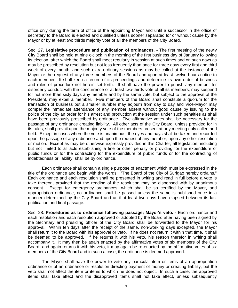office only during the term of office of the appointing Mayor and until a successor in the office of secretary to the Board is elected and qualified unless sooner separated for or without cause by the Mayor or by at least two thirds majority vote of all the members of the City Board.

Sec. 27. **Legislative procedure and publication of ordinances. -** The first meeting of the newly City Board shall be held at nine o'clock in the morning of the first business day of January following its election, after which the Board shall meet regularly in session at such times and on such days as may be prescribed by resolution but not less frequently than once for three days every first and third week of every month, and such extra-ordinary sessions as may be called at the instance of the Mayor or the request of any three members of the Board and upon at least twelve hours notice to each member. It shall keep a record of its proceedings and determine its own order of business and rules of procedure not herein set forth. It shall have the power to punish any member for disorderly conduct with the concurrence of at least two-thirds vote of all its members; may suspend for not more than sixty days any member and by the same vote, but subject to the approval of the President, may expel a member. Five members of the Board shall constitute a quorum for the transaction of business but a smaller number may adjourn from day to day and Vice-Mayor may compel the immediate attendance of any member absent without good cause by issuing to the police of the city an order for his arrest and production at the session under such penalties as shall have been previously prescribed by ordinance. Five affirmative votes shall be necessary for the passage of any ordinance creating liability. All other acts of the City Board, unless provided for in its rules, shall prevail upon the majority vote of the members present at any meeting duly called and held. Except in cases where the vote is unanimous, the eyes and nays shall be taken and recorded upon the passage of any ordinance and upon the request of any member, upon any other resolution or motion. Except as may be otherwise expressly provided in this Charter, all legislation, including but not limited to all acts establishing a fine or other penalty or providing for the expenditure of public funds or for the contracting for the expenditure of public funds or for the contracting of indebtedness or liability, shall be by ordinance.

Each ordinance shall contain a single purpose of enactment which must be expressed in the title of the ordinance and begin with the words: "The Board of the City of Surigao hereby ordains." Each ordinance and each resolution shall be presented in writing and read in full before a vote is take thereon, provided that the reading of the resolution may be dispensed with by unanimous consent. Except for emergency ordinances, which shall be so certified by the Mayor, and appropriation ordinance, no ordinance shall be passed unless the same is published once in a manner determined by the City Board and until at least two days have elapsed between its last publication and final passage.

Sec. 28. **Procedures as to ordinance following passage; Mayor's veto. -** Each ordinance and each resolution and each resolution approved or adopted by the Board after having been signed by the Secretary and presiding officer of the City Board shall be forwarded to the Mayor for his approval. Within ten days after the receipt of the same, non-working days excepted, the Mayor shall return it to the Board with his approval or veto. If he does not return it within that time, it shall be deemed to be approved. If he returns it with his veto, his reason therefor in writing shall accompany it. It may then be again enacted by the affirmative votes of six members of the City Board, and again returns it with his veto, it may again be re-enacted by the affirmative votes of six members of the City Board and in such a case, the ordinance is deemed approved.

The Mayor shall have the power to veto any particular item or items of an appropriation ordinance or of an ordinance or resolution directing payment of money or creating liability, but the veto shall not affect the item or items to which he does not object. In such a case, the approved items shall take effect and the disapproved items shall not take effect, unless subsequently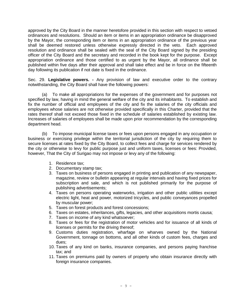approved by the City Board in the manner heretofore provided in this section with respect to vetoed ordinances and resolutions. Should an item or items in an appropriation ordinance be disapproved by the Mayor, the corresponding item or items in an appropriation ordinance of the previous year shall be deemed restored unless otherwise expressly directed in the veto. Each approved resolution and ordinance shall be sealed with the seal of the City Board signed by the presiding officer of the City Board and the secretary and recorded in the book kept for the purpose. Except appropriation ordinance and those certified to as urgent by the Mayor, all ordinance shall be published within five days after their approval and shall take effect and be in force on the fifteenth day following its publication if not date is fixed in the ordinance.

Sec. 29. **Legislative powers. -** Any provision of law and executive order to the contrary notwithstanding, the City Board shall have the following powers:

(a) To make all appropriations for the expenses of the government and for purposes not specified by law, having in mind the general welfare of the city and its inhabitants. To establish and fix the number of official and employees of the city and fix the salaries of the city officials and employees whose salaries are not otherwise provided specifically in this Charter, provided that the rates thereof shall not exceed those fixed in the schedule of salaries established by existing law. Increases of salaries of employees shall be made upon prior recommendation by the corresponding department head.

(b) To impose municipal license taxes or fees upon persons engaged in any occupation or business or exercising privilege within the territorial jurisdiction of the city by requiring them to secure licenses at rates fixed by the City Board, to collect fees and charge for services rendered by the city or otherwise to levy for public purpose just and uniform taxes, licenses or fees: Provided, however, That the City of Surigao may not impose or levy any of the following:

- 1. Residence tax;
- 2. Documentary stamp tax;
- 3. Taxes on business of persons engaged in printing and publication of any newspaper, magazine, review or bulletin appearing at regular intervals and having fixed prices for subscription and sale, and which is not published primarily for the purpose of publishing advertisements;
- 4. Taxes on persons operating waterworks, irrigation and other public utilities except electric light, heat and power, motorized tricycles, and public conveyances propelled by muscular power;
- 5. Taxes on forest products and forest concessions;
- 6. Taxes on estates, inheritances, gifts, legacies, and other acquisitions mortis causa;
- 7. Taxes on income of any kind whatsoever;
- 8. Taxes or fees for the registration of motor vehicles and for issuance of all kinds of licenses or permits for the driving thereof;
- 9. Customs duties registration, wharfage on wharves owned by the National Government, tonnage on bottoms, and all other kinds of custom fees, charges and dues;
- 10. Taxes of any kind on banks, insurance companies, and persons paying franchise tax; and
- 11. Taxes on premiums paid by owners of property who obtain insurance directly with foreign insurance companies.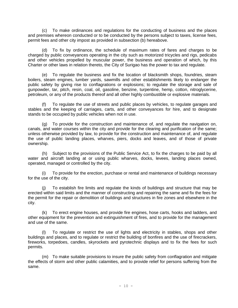(c) To make ordinances and regulations for the conducting of business and the places and premises whereon conducted or to be conducted by the persons subject to taxes, license fees, permit fees and other city impost as provided in subsection (b) hereabove.

(d) To fix by ordinance, the schedule of maximum rates of fares and charges to be charged by public conveyances operating in the city such as motorized tricycles and rigs, pedicabs and other vehicles propelled by muscular power, the business and operation of which, by this Charter or other laws in relation thereto, the City of Surigao has the power to tax and regulate.

(e) To regulate the business and fix the location of blacksmith shops, foundries, steam boilers, steam engines, lumber yards, sawmills and other establishments likely to endanger the public safety by giving rise to conflagrations or explosions; to regulate the storage and sale of gunpowder, tar, pitch, resin, coal, oil, gasoline, benzine, turpentine, hemp, cotton, nitroglycerine, petroleum, or any of the products thereof and all other highly combustible or explosive materials.

(f) To regulate the use of streets and public places by vehicles, to regulate garages and stables and the keeping of carriages, carts, and other conveyances for hire, and to designate stands to be occupied by public vehicles when not in use.

(g) To provide for the construction and maintenance of, and regulate the navigation on, canals, and water courses within the city and provide for the clearing and purification of the same; unless otherwise provided by law, to provide for the construction and maintenance of, and regulate the use of public landing places, wharves, piers, docks and leaves, and of those of private ownership.

(h) Subject to the provisions of the Public Service Act, to fix the charges to be paid by all water and aircraft landing at or using public wharves, docks, levees, landing places owned, operated, managed or controlled by the city.

(i) To provide for the erection, purchase or rental and maintenance of buildings necessary for the use of the city.

(j) To establish fire limits and regulate the kinds of buildings and structure that may be erected within said limits and the manner of constructing and repairing the same and fix the fees for the permit for the repair or demolition of buildings and structures in fire zones and elsewhere in the city.

(k) To erect engine houses, and provide fire engines, hose carts, hooks and ladders, and other equipment for the prevention and extinguishment of fires, and to provide for the management and use of the same.

(l) To regulate or restrict the use of lights and electricity in stables, shops and other buildings and places, and to regulate or restrict the building of bonfires and the use of firecrackers, fireworks, torpedoes, candles, skyrockets and pyrotechnic displays and to fix the fees for such permits.

(m) To make suitable provisions to insure the public safety from conflagration and mitigate the effects of storm and other public calamities, and to provide relief for persons suffering from the same.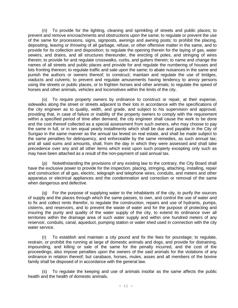(n) To provide for the lighting, cleaning and sprinkling of streets and public places; to prevent and remove encroachments and obstructions upon the same; to regulate or prevent the use of the same for processions, signs, signposts, awnings and awning posts; to prohibit the placing, depositing, leaving or throwing of all garbage, refuse, or other offensive matter in the same, and to provide for its collection and disposition; to regulate the opening therein for the laying of gas, water sewers, and drains, and all structures thereunder, the erecting of poles, and stringing of wires therein; to provide for and regulate crosswalks, curbs, and gutters therein; to name and change the names of all streets and public places and provide for and regulate the numbering of houses and lots fronting thereon; to regulate traffic and sale upon the same; to abate nuisances in the same and punish the authors or owners thereof; to construct; maintain and regulate the use of bridges, viaducts and culverts; to prevent and regulate amusements having tendency to annoy persons using the streets or public places, or to frighten horses and other animals; to regulate the speed of horses and other animals, vehicles and locomotives within the limits of the city.

(o) To require property owners by ordinance to construct or repair, at their expense, sidewalks along the street or streets adjacent to their lots in accordance with the specifications of the city engineer as to quality, width, and grade, and subject to his supervision and approval, providing that, in case of failure or inability of the property owners to comply with the requirement within a specified period of time after demand, the city engineer shall cause the work to be done and the cost thereof collected as a special assessment from such owners, who may choose to pay the same in full, or in ten equal yearly installments which shall be due and payable in the City of Surigao in the same manner as the annual tax levied on real estate, and shall be made subject to the same penalties for delinquency, and enforceable by the same remedies, as such annual tax; and all said sums and amounts, shall, from the day in which they were assessed and shall take precedence over any and all other items which exist upon such property excepting only such as may have been attached as a result of the non-payment of said annual tax.

(p) Notwithstanding the provisions of any existing law to the contrary, the City Board shall have the exclusive power to provide for the inspection, placing, stringing, attaching, installing, repair and construction of all gas, electric, telegraph and telephone wires, conduits, and meters and other apparatus or electrical appliances and the condemnation and correction or removal of the same when dangerous and defective.

(q) For the purpose of supplying water to the inhabitants of the city, to purify the sources of supply and the places through which the same passes, to own, and control the use of water and to fix and collect rents therefor, to regulate the construction, repairs and use of hydrants, pumps, cisterns, and reservoirs, and to prevent the waste of water and for the purpose of protecting and insuring the purity and quality of the water supply of the city, to extend its ordinance over all territories within the drainage area of such water supply and within one hundred meters of any reservoir, conduits, canal, aqueduct, pumping station or water shed used in connection with the city water service.

(r) To establish and maintain a city pound and fix the fees for poundage; to regulate, restrain, or prohibit the running at large of domestic animals and dogs, and provide for distraining, impounding, and killing or sale of the same for the penalty incurred, and the cost of the proceedings; also impose penalties upon the owners of the said animals for the violations of any ordinance in relation thereof; but carabaos, horses, mules, asses and all members of the bovine family shall be disposed of in accordance with the general law.

(s) To regulate the keeping and use of animals insofar as the same affects the public health and the health of domestic animals.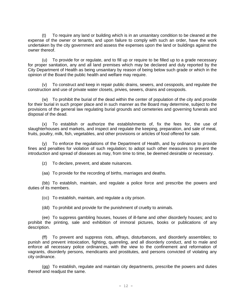(t) To require any land or building which is in an unsanitary condition to be cleaned at the expense of the owner or tenants, and upon failure to comply with such an order, have the work undertaken by the city government and assess the expenses upon the land or buildings against the owner thereof.

(u) To provide for or regulate, and to fill up or require to be filled up to a grade necessary for proper sanitation, any and all land premises which may be declared and duly reported by the City Department of Health as being unsanitary by reason of being below such grade or which in the opinion of the Board the public health and welfare may require.

(v) To construct and keep in repair public drains, sewers, and cesspools, and regulate the construction and use of private water closets, privies, sewers, drains and cesspools.

(w) To prohibit the burial of the dead within the center of population of the city and provide for their burial in such proper place and in such manner as the Board may determine, subject to the provisions of the general law regulating burial grounds and cemeteries and governing funerals and disposal of the dead.

(x) To establish or authorize the establishments of, fix the fees for, the use of slaughterhouses and markets, and inspect and regulate the keeping, preparation, and sale of meat, fruits, poultry, milk, fish, vegetables, and other provisions or articles of food offered for sale.

(y) To enforce the regulations of the Department of Health, and by ordinance to provide fines and penalties for violation of such regulation; to adopt such other measures to prevent the introduction and spread of diseases as may, from time to time, be deemed desirable or necessary.

(z) To declare, prevent, and abate nuisances.

(aa) To provide for the recording of births, marriages and deaths.

(bb) To establish, maintain, and regulate a police force and prescribe the powers and duties of its members.

(cc) To establish, maintain, and regulate a city prison.

(dd) To prohibit and provide for the punishment of cruelty to animals.

(ee) To suppress gambling houses, houses of ill-fame and other disorderly houses; and to prohibit the printing, sale and exhibition of immoral pictures, books or publications of any description.

(ff) To prevent and suppress riots, affrays, disturbances, and disorderly assemblies; to punish and prevent intoxication, fighting, quarreling, and all disorderly conduct, and to male and enforce all necessary police ordinances, with the view to the confinement and reformation of vagrants, disorderly persons, mendicants and prostitutes, and persons convicted of violating any city ordinance.

(gg) To establish, regulate and maintain city departments, prescribe the powers and duties thereof and readjust the same.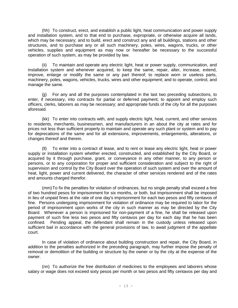(hh) To construct, erect, and establish a public light, heat communication and power supply and installation system, and to that end to purchase, expropriate, or otherwise acquire all lands, which may be necessary; and to build, erect and construct any and all buildings, stations and other structures, and to purchase any or all such machinery, poles, wires, wagons, trucks, or other vehicles, supplies and equipment as may now or hereafter be necessary to the successful operation of such system, as may be provided by law.

(ii) To maintain and operate any electric light, heat or power supply, communication, and installation system and whenever acquired, to keep the same, repair, alter, increase, extend, improve, enlarge or modify the same or any part thereof; to replace worn or useless parts, machinery, poles, wagons, vehicles, trucks, wires and other equipment; and to operate, control, and manage the same.

(jj) For any and all the purposes contemplated in the last two preceding subsections, to enter, if necessary, into contracts for partial or deferred payment; to appoint and employ such officers, clerks, laborers as may be necessary; and appropriate funds of the city for all the purposes aforesaid.

(kk) To enter into contracts with, and supply electric light, heat, current, and other services to residents, merchants, businessmen, and manufacturers in an about the city at rates and for prices not less than sufficient properly to maintain and operate any such plant or system and to pay for deprecations of the same and for all extensions, improvements, enlargements, alterations, or changes thereof and therein.

(ll) To enter into a contract of lease, and to rent or lease any electric light, heat or power supply or installation system whether erected, constructed, and established by the City Board, or acquired by it through purchase, grant, or conveyance in any other manner, to any person or persons, or to any corporation for proper and sufficient consideration and subject to the right of supervision and control by the City Board over the operation of such system and over the amount of heat, light, power and current delivered, the character of other services rendered and of the rates and amounts charged therefor.

(mm)To fix the penalties for violation of ordinances, but no single penalty shall exceed a fine of two hundred pesos for imprisonment for six months, or both, but imprisonment shall be imposed in lieu of unpaid fines at the rate of one day's imprisonment for each two pesos and fifty centavos of fine. Persons undergoing imprisonment for violation of ordinance may be required to labor for the period of imprisonment upon works of the city in such manner as may be directed by the City Board. Whenever a person is imprisoned for non-payment of a fine, he shall be released upon payment of such fine less two pesos and fifty centavos per day for each day that he has been confined. Pending appeal, the defendant shall remain in the custody unless released upon sufficient bail in accordance with the general provisions of law, to await judgment of the appellate court.

In case of violation of ordinance about building construction and repair, the City Board, in addition to the penalties authorized in the preceding paragraph, may further impose the penalty of removal or demolition of the building or structure by the owner or by the city at the expense of the owner.

(nn) To authorize the free distribution of medicines to the employees and laborers whose salary or wage does not exceed sixty pesos per month or two pesos and fifty centavos per day and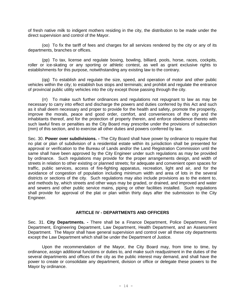of fresh native milk to indigent mothers residing in the city, the distribution to be made under the direct supervision and control of the Mayor.

(oo) To fix the tariff of fees and charges for all services rendered by the city or any of its departments, branches or offices.

(pp) To tax, license and regulate boxing, bowling, billiard, pools, horse, races, cockpits, roller or ice-skating or any sporting or athletic contest, as well as grant exclusive rights to establishments for this purpose, notwithstanding any existing law to the contrary.

(qq) To establish and regulate the size, speed, and operation of motor and other public vehicles within the city; to establish bus stops and terminals; and prohibit and regulate the entrance of provincial public utility vehicles into the city except those passing through the city.

(rr) To make such further ordinances and regulations not repugnant to law as may be necessary to carry into effect and discharge the powers and duties conferred by this Act and such as it shall deem necessary and proper to provide for the health and safety, promote the prosperity, improve the morals, peace and good order, comfort, and conveniences of the city and the inhabitants thereof, and for the protection of property therein, and enforce obedience thereto with such lawful fines or penalties as the City Board may prescribe under the provisions of subsection (mm) of this section, and to exercise all other duties and powers conferred by law.

Sec. 30. **Power over subdivisions. -** The City Board shall have power by ordinance to require that no plat or plan of subdivision of a residential estate within its jurisdiction shall be presented for approval or verification to the Bureau of Lands and/or the Land Registration Commission until the same shall have been approved by the City Engineer under such regulations as may be provided by ordinance. Such regulations may provide for the proper arrangements design, and width of streets in relation to other existing or planned streets; for adequate and convenient open spaces for traffic, public services, access of fire-fighting apparatus, recreation, light and air, and for the avoidance of congestion of population including minimum width and area of lots in the several districts or sections of the city. Such regulations may also include provisions as to the extent to, and methods by, which streets and other ways may be graded, or drained, and improved and water and sewers and other public service mains, piping or other facilities installed. Such regulations shall provide for approval of the plat or plan within thirty days after the submission to the City Engineer.

#### **ARTICLE IV - DEPARTMENTS AND OFFICERS**

Sec. 31. **City Departments. -** There shall be a Finance Department, Police Department, Fire Department, Engineering Department, Law Department, Health Department, and an Assessment Department. The Mayor shall have general supervision and control over all these city departments except the Law Department which shall be under the Department of Justice.

Upon the recommendation of the Mayor, the City Board may, from time to time, by ordinance, assign additional functions or duties to, and make such readjustment in the duties of the several departments and offices of the city as the public interest may demand, and shall have the power to create or consolidate any department, division or office or delegate these powers to the Mayor by ordinance.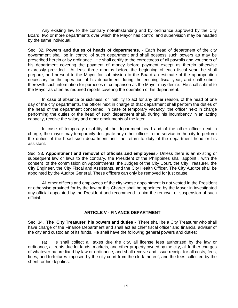Any existing law to the contrary notwithstanding and by ordinance approved by the City Board, two or more departments over which the Mayor has control and supervision may be headed by the same individual.

Sec. 32. **Powers and duties of heads of departments.** - Each head of department of the city government shall be in control of such department and shall possess such powers as may be prescribed herein or by ordinance. He shall certify to the correctness of all payrolls and vouchers of his department covering the payment of money before payment except as therein otherwise expressly provided. At least three months before the beginning of each fiscal year, he shall prepare, and present to the Mayor for submission to the Board an estimate of the appropriation necessary for the operation of his department during the ensuing fiscal year, and shall submit therewith such information for purposes of comparison as the Mayor may desire. He shall submit to the Mayor as often as required reports covering the operation of his department.

In case of absence or sickness, or inability to act for any other reason, of the head of one day of the city departments, the officer next in charge of that department shall perform the duties of the head of the department concerned. In case of temporary vacancy, the officer next in charge performing the duties or the head of such department shall, during his incumbency in an acting capacity, receive the salary and other emoluments of the later.

In case of temporary disability of the department head and of the other officer next in charge, the mayor may temporarily designate any other officer in the service in the city to perform the duties of the head such department until the return to duty of the department head or his assistant.

Sec. 33. **Appointment and removal of officials and employees.**- Unless there is an existing or subsequent law or laws to the contrary, the President of the Philippines shall appoint , with the consent of the commission on Appointments, the Judges of the City Court, the City Treasurer, the City Engineer, the City Fiscal and Assistants, and the City Health Officer. The City Auditor shall be appointed by the Auditor General. These officers can only be removed for just cause.

All other officers and employees of the city whose appointment is not vested in the President or otherwise provided for by the law or this Charter shall be appointed by the Mayor in investigated any official appointed by the President and recommend to him the removal or suspension of such official.

#### **ARTICLE V - FINANCE DEPARTMENT**

Sec. 34. **The City Treasurer, his powers and duties** - There shall be a City Treasurer who shall have charge of the Finance Department and shall act as chief fiscal officer and financial adviser of the city and custodian of its funds. He shall have the following general powers and duties:

(a) He shall collect all taxes due the city, all license fees authorized by the law or ordinance, all rents due for lands, markets, and other property owned by the city, all further charges of whatever nature fixed by law or ordinance, and shall receive and issue receipt for all costs, fees, fines, and forfeitures imposed by the city court from the clerk thereof, and the fees collected by the sheriff or his deputies.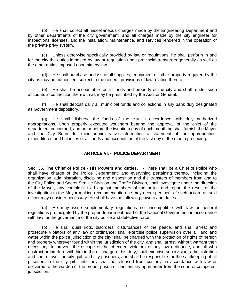(b) He shall collect all miscellaneous charges made by the Engineering Department and by other departments of the city government, and all charges made by the city engineer for inspections, licenses, and the installation, maintenance, and services rendered in the operation of the private privy system.

(c) Unless otherwise specifically provided by law or regulations, he shall perform in and for the city the duties imposed by law or regulation upon provincial treasurers generally as well as the other duties imposed upon him by law.

(d) He shall purchase and issue all supplies, equipment or other property required by the city as may be authorized, subject to the general provisions of law relating thereto.

(e) He shall be accountable for all funds and property of the city and shall render such accounts in connection therewith as may be prescribed by the Auditor General.

(f) He shall deposit daily all municipal funds and collections in any bank duly designated as Government depository.

(g) He shall disburse the funds of the city in accordance with duly authorized appropriations, upon properly executed vouchers bearing the approval of the chief of the department concerned, and on or before the twentieth day of each month he shall furnish the Mayor and the City Board for their administrative information a statement of the appropriation, expenditures and balances of all funds and accounts as of the last day of the month preceding.

#### **ARTICLE VI. - POLICE DEPARTMENT**

Sec. 35. **The Chief of Police** - **His Powers and duties.** - There shall be a Chief of Police who shall have charge of the Police Department, and everything pertaining thereto, including the organization, administration, discipline and disposition and the transfers of members from and to the City Police and Secret Service Division and Traffic Division, shall investigate under the direction of the Mayor, any complaint filed against members of the police and report the result of the investigation to the Mayor making recommendation he may deem pertinent of such action as said officer may consider necessary. He shall have the following powers and duties:

(a) He may issue supplementary regulations not incompatible with law or general regulations promulgated by the proper department head of the National Government, in accordance with law for the governance of the city police and detective force.

(b) He shall quell riots, disorders, disturbances of the peace, and shall arrest and prosecute Violators of any law or ordinance; shall exercise police supervision over all land and water within the police jurisdiction of the city; shall be charged with the protection of rights of person and property wherever found within the jurisdiction of the city, and shall arrest, without warrant then necessary, to prevent the escape of the offender, violators of any law ordinance, and all who obstruct or interfere with him in the discharge of his duty; shall exercise supervision, administration and control over the city jail and city prisoners; and shall be responsible for the safekeeping of all prisoners in the city jail until they shall be released from custody, in accordance with law or delivered to the warden of the proper prison or penitentiary upon order from the court of competent jurisdiction.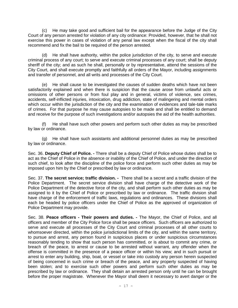(c) He may take good and sufficient bail for the appearance before the Judge of the City Court of any person arrested for violation of any city ordinance: Provided, however, that he shall not exercise this power in cases of violation of any penal law except when the fiscal of the city shall recommend and fix the bail to be required of the person arrested.

(d) He shall have authority, within the police jurisdiction of the city, to serve and execute criminal process of any court; to serve and execute criminal processes of any court; shall be deputy sheriff of the city; and as such he shall, personally or by representative, attend the sessions of the City Court, and shall execute promptly and faithfully all orders of the Mayor, including assignments and transfer of personnel, and all writs and processes of the City Court.

(e) He shall cause to be investigated the causes of sudden deaths which have not been satisfactorily explained and when there is suspicion that the cause arose from unlawful acts or omissions of other persons or from foul play and in general, victims of violence, sex crimes, accidents, self-inflicted injuries, intoxication, drug addiction, state of malingering and mental orders which occur within the jurisdiction of the city and the examination of evidences and tale-tale marks of crimes. For that purpose he may cause autopsies to be made and shall be entitled to demand and receive for the purpose of such investigations and/or autopsies the aid of the health authorities.

(f) He shall have such other powers and perform such other duties as may be prescribed by law or ordinance.

(g) He shall have such assistants and additional personnel duties as may be prescribed by law or ordinance.

Sec. 36. **Deputy Chief of Police. -** There shall be a deputy Chief of Police whose duties shall be to act as the Chief of Police in the absence or inability of the Chief of Police, and under the direction of such chief, to look after the discipline of the police force and perform such other duties as may be imposed upon him by the Chief or prescribed by law or ordinance.

Sec. 37. **The secret service; traffic division. -** There shall be a secret and a traffic division of the Police Department. The secret service division shall have charge of the detective work of the Police Department of the detective force of the city, and shall perform such other duties as may be assigned to it by the Chief of Police or prescribed by law or ordinance. The traffic division shall have charge of the enforcement of traffic laws, regulations and ordinances. These divisions shall each be headed by police officers under the Chief of Police as the approved of organization of Police Department may provide.

Sec. 38. **Peace officers - Their powers and duties. -** The Mayor, the Chief of Police, and all officers and member of the City Police force shall be peace officers. Such officers are authorized to serve and execute all processes of the City Court and criminal processes of all other courts to whomsoever directed, within the police jurisdictional limits of the city, and within the same territory, to pursue and arrest, any person found in suspicious places or under suspicious circumstances reasonably tending to show that such person has committed, or is about to commit any crime, or breach of the peace, to arrest or cause to be arrested without warrant, any offender when the offense is committed in the presence of a peace officer or within his view; and in such pursuit or arrest to enter any building, ship, boat, or vessel or take into custody any person herein suspected of being concerned in such crime or breach of the peace, and any property suspected of having been stolen; and to exercise such other powers and perform such other duties as may be prescribed by law or ordinance. They shall detain an arrested person only until he can be brought before the proper magistrate. Whenever the Mayor shall deem it necessary to avert danger or the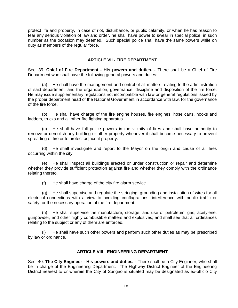protect life and property, in case of riot, disturbance, or public calamity, or when he has reason to fear any serious violation of law and order, he shall have power to swear in special police, in such number as the occasion may deemed. Such special police shall have the same powers while on duty as members of the regular force.

#### **ARTICLE VII - FIRE DEPARTMENT**

Sec. 39. **Chief of Fire Department - His powers and duties. -** There shall be a Chief of Fire Department who shall have the following general powers and duties:

(a) He shall have the management and control of all matters relating to the administration of said department, and the organization, governance, discipline and disposition of the fire force. He may issue supplementary regulations not incompatible with law or general regulations issued by the proper department head of the National Government in accordance with law, for the governance of the fire force.

(b) He shall have charge of the fire engine houses, fire engines, hose carts, hooks and ladders, trucks and all other fire fighting apparatus.

(c) He shall have full police powers in the vicinity of fires and shall have authority to remove or demolish any building or other property whenever it shall become necessary to prevent spreading of fire or to protect adjacent property.

(d) He shall investigate and report to the Mayor on the origin and cause of all fires occurring within the city.

(e) He shall inspect all buildings erected or under construction or repair and determine whether they provide sufficient protection against fire and whether they comply with the ordinance relating thereto.

(f) He shall have charge of the city fire alarm service.

(g) He shall supervise and regulate the stringing, grounding and installation of wires for all electrical connections with a view to avoiding conflagrations, interference with public traffic or safety, or the necessary operation of the fire department.

(h) He shall supervise the manufacture, storage, and use of petroleum, gas, acetylene, gunpowder, and other highly combustible matters and explosives; and shall see that all ordinances relating to the subject or any of them are enforced.

(i) He shall have such other powers and perform such other duties as may be prescribed by law or ordinance.

#### **ARTICLE VIII - ENGINEERING DEPARTMENT**

Sec. 40. **The City Engineer - His powers and duties. -** There shall be a City Engineer, who shall be in charge of the Engineering Department. The Highway District Engineer of the Engineering District nearest to or wherein the City of Surigao is situated may be designated as ex-officio City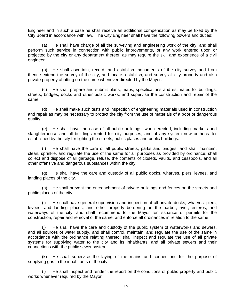Engineer and in such a case he shall receive an additional compensation as may be fixed by the City Board in accordance with law. The City Engineer shall have the following powers and duties:

(a) He shall have charge of all the surveying and engineering work of the city; and shall perform such service in connection with public improvements, or any work entered upon or projected by the city or any department thereof, as may require the skill and experience of a civil engineer.

(b) He shall ascertain, record, and establish monuments of the city survey and from thence extend the survey of the city, and locate, establish, and survey all city property and also private property abutting on the same whenever directed by the Mayor.

(c) He shall prepare and submit plans, maps, specifications and estimated for buildings, streets, bridges, docks and other public works, and supervise the construction and repair of the same.

(d) He shall make such tests and inspection of engineering materials used in construction and repair as may be necessary to protect the city from the use of materials of a poor or dangerous quality.

(e) He shall have the case of all public buildings, when erected, including markets and slaughterhouse and all buildings rented for city purposes, and of any system now or hereafter established by the city for lighting the streets, public places and public buildings.

(f) He shall have the care of all public streets, parks and bridges, and shall maintain, clean, sprinkle, and regulate the use of the same for all purposes as provided by ordinance; shall collect and dispose of all garbage, refuse, the contents of closets, vaults, and cesspools, and all other offensive and dangerous substances within the city.

(g) He shall have the care and custody of all public docks, wharves, piers, levees, and landing places of the city.

(h) He shall prevent the encroachment of private buildings and fences on the streets and public places of the city.

(i) He shall have general supervision and inspection of all private docks, wharves, piers, levees, and landing places, and other property bordering on the harbor, river, esteros, and waterways of the city, and shall recommend to the Mayor for issuance of permits for the construction, repair and removal of the same, and enforce all ordinances in relation to the same.

(j) He shall have the care and custody of the public system of waterworks and sewers, and all sources of water supply, and shall control, maintain, and regulate the use of the same in accordance with the ordinance relating thereto; shall inspect and regulate the use of all private systems for supplying water to the city and its inhabitants, and all private sewers and their connections with the public sewer system.

(k) He shall supervise the laying of the mains and connections for the purpose of supplying gas to the inhabitants of the city.

(l) He shall inspect and render the report on the conditions of public property and public works whenever required by the Mayor.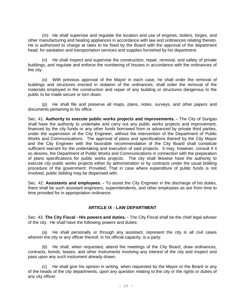(m) He shall supervise and regulate the location and use of engines, boilers, forges, and other manufacturing and heating appliances in accordance with law and ordinances relating thereto. He is authorized to charge at rates to be fixed by the Board with the approval of the department head, for sanitation and transportation services and supplies furnished by his department.

(n) He shall inspect and supervise the construction, repair, removal, and safety of private buildings, and regulate and enforce the numbering of houses in accordance with the ordinances of the city.

(o) With previous approval of the Mayor in each case, he shall order the removal of buildings and structures erected in violation of the ordinances; shall order the removal of the materials employed in the construction and repair of any building or structures dangerous to the public to be made secure or torn down.

(p) He shall file and preserve all maps, plans, notes, surveys, and other papers and documents pertaining to his office.

Sec. 41. **Authority to execute public works projects and improvements. -** The City of Surigao shall have the authority to undertake and carry out any public works projects and improvement, financed by the city funds or any other funds borrowed from or advanced by private third parties, under the supervision of the City Engineer, without the intervention of the Department of Public Works and Communications. The approval of plans and specifications thereof by the City Mayor and the City Engineer with the favorable recommendation of the City Board shall constitute sufficient warrant for the undertaking and execution of said projects. It may, however, consult if it so desires, the Department of Public Works and Communications in connection with the preparation of plans specifications for public works projects. The city shall likewise have the authority to execute city public works projects either by administration or by contracts under the usual bidding procedure of the government: Provided, That in case where expenditure of public funds is not involved, public bidding may be dispensed with.

Sec. 42. **Assistants and employees. -** To assist the City Engineer in the discharge of his duties, there shall be such assistant engineers, superintendents, and other employees as are from time to time provided for in appropriation ordinance.

#### **ARTICLE IX - LAW DEPARTMENT**

Sec. 43. **The City Fiscal - His powers and duties. -** The City Fiscal shall be the chief legal adviser of the city. He shall have the following powers and duties:

(a) He shall personally or through any assistant, represent the city in all civil cases wherein the city or any officer thereof, in his official capacity, is a party.

(b) He shall, when requested, attend the meetings of the City Board, draw ordinances, contracts, bonds, leases, and other instruments involving any interest of the city and inspect and pass upon any such instrument already drawn.

(c) He shall give his opinion in writing, when requested by the Mayor or the Board or any of the heads of the city departments, upon any question relating to the city or the rights or duties of any city officer.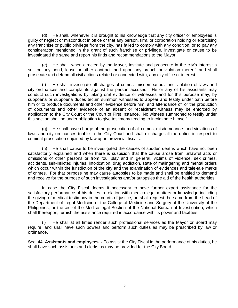(d) He shall, whenever it is brought to his knowledge that any city officer or employees is guilty of neglect or misconduct in office or that any person, firm, or corporation holding or exercising any franchise or public privilege from the city, has failed to comply with any condition, or to pay any consideration mentioned in the grant of such franchise or privilege, investigate or cause to be investigated the same and report his finds and recommendations to the Mayor.

(e) He shall, when directed by the Mayor, institute and prosecute in the city's interest a suit on any bond, lease or other contract, and upon any breach or violation thereof; and shall prosecute and defend all civil actions related or connected with, any city office or interest.

(f) He shall investigate all charges of crimes, misdemeanors, and violation of laws and city ordinances and complaints against the person accused. He or any of his assistants may conduct such investigations by taking oral evidence of witnesses and for this purpose may, by subpoena or subpoena duces tecum summon witnesses to appear and testify under oath before him or to produce documents and other evidence before him, and attendance of, or the production of documents and other evidence of an absent or recalcitrant witness may be enforced by application to the City Court or the Court of First Instance. No witness summoned to testify under this section shall be under obligation to give testimony tending to incriminate himself.

(g) He shall have charge of the prosecution of all crimes, misdemeanors and violations of laws and city ordinances triable in the City Court and shall discharge all the duties in respect to criminal prosecution enjoined by law upon provincial fiscals.

(h) He shall cause to be investigated the causes of sudden deaths which have not been satisfactorily explained and when there is suspicion that the cause arose from unlawful acts or omissions of other persons or from foul play and in general, victims of violence, sex crimes, accidents, self-inflicted injuries, intoxication, drug addiction, state of malingering and mental orders which occur within the jurisdiction of the city and the examination of evidences and tale-tale marks of crimes. For that purpose he may cause autopsies to be made and shall be entitled to demand and receive for the purpose of such investigations and/or autopsies the aid of the health authorities.

In case the City Fiscal deems it necessary to have further expert assistance for the satisfactory performance of his duties in relation with medico-legal matters or knowledge including the giving of medical testimony in the courts of justice, he shall request the same from the head of the Department of Legal Medicine of the College of Medicine and Surgery of the University of the Philippines, or the aid of the Medico-legal Section of the National Bureau of Investigation, which shall thereupon, furnish the assistance required in accordance with its power and facilities.

(i) He shall at all times render such professional services as the Mayor or Board may require, and shall have such powers and perform such duties as may be prescribed by law or ordinance.

Sec. 44. **Assistants and employees. -** To assist the City Fiscal in the performance of his duties, he shall have such assistants and clerks as may be provided for the City Board.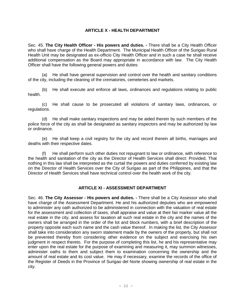#### **ARTICLE X - HEALTH DEPARTMENT**

Sec. 45. **The City Health Officer - His powers and duties. -** There shall be a City Health Officer who shall have charge of the Health Department. The Municipal Health Officer of the Surigao Rural Health Unit may be designated as ex-officio City Health Officer and in such a case he shall receive additional compensation as the Board may appropriate in accordance with law. The City Health Officer shall have the following general powers and duties:

(a) He shall have general supervision and control over the health and sanitary conditions of the city, including the cleaning of the crematories, cemeteries and markets.

(b) He shall execute and enforce all laws, ordinances and regulations relating to public health.

(c) He shall cause to be prosecuted all violations of sanitary laws, ordinances, or regulations.

(d) He shall make sanitary inspections and may be aided therein by such members of the police force of the city as shall be designated as sanitary inspectors and may be authorized by law or ordinance.

(e) He shall keep a civil registry for the city and record therein all births, marriages and deaths with their respective dates.

(f) He shall perform such other duties not repugnant to law or ordinance, with reference to the health and sanitation of the city as the Director of Health Services shall direct: Provided, That nothing in this law shall be interpreted as the curtail the powers and duties conferred by existing law on the Director of Health Services over the City of Surigao as part of the Philippines, and that the Director of Health Services shall have technical control over the health work of the city.

#### **ARTICLE XI - ASSESSMENT DEPARTMENT**

Sec. 46. **The City Assessor - His powers and duties. -** There shall be a City Assessor who shall have charge of the Assessment Department. He and his authorized deputies who are empowered to administer any oath authorized to be administered in connection with the valuation of real estate for the assessment and collection of taxes, shall appraise and value at their fair marker value all the real estate in the city, and assess for taxation all such real estate in the city and the names of the owners shall be arranged in the order of the lot and block numbers, with a brief description of the property opposite each such name and the cash value thereof. In making the list, the City Assessor shall take into consideration any sworn statement made by the owners of the property, but shall not be prevented thereby from considering other evidence on the subject and exercising his own judgment in respect thereto. For the purpose of completing this list, he and his representative may enter upon the real estate for the purpose of examining and measuring it, may summon witnesses, administer oaths to them and subject them to examination concerning the ownership and the amount of real estate and its cost value. He may if necessary, examine the records of the office of the Register of Deeds in the Province of Surigao del Norte showing ownership of real estate in the city.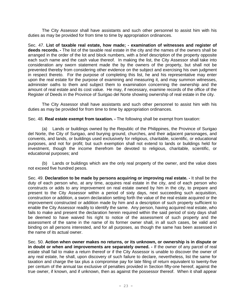The City Assessor shall have assistants and such other personnel to assist him with his duties as may be provided for from time to time by appropriation ordinances.

Sec. 47. **List of taxable real estate, how made; - examination of witnesses and register of deeds records. -** The list of the taxable real estate in the city and the names of the owners shall be arranged in the order of the lot and block numbers, with a brief description of the property opposite each such name and the cash value thereof. In making the list, the City Assessor shall take into consideration any sworn statement made the by the owners of the property, but shall not be prevented thereby from considering other evidence on the subject and exercising his own judgment in respect thereto. For the purpose of completing this list, he and his representative may enter upon the real estate for the purpose of examining and measuring it, and may summon witnesses, administer oaths to them and subject them to examination concerning the ownership and the amount of real estate and its cost value. He may, if necessary, examine records of the office of the Register of Deeds in the Province of Surigao del Norte showing ownership of real estate in the city.

The City Assessor shall have assistants and such other personnel to assist him with his duties as may be provided for from time to time by appropriation ordinances.

Sec. 48. **Real estate exempt from taxation. -** The following shall be exempt from taxation:

(a) Lands or buildings owned by the Republic of the Philippines, the Province of Surigao del Norte, the City of Surigao, and burying ground, churches, and their adjacent parsonages, and convents, and lands, or buildings used exclusively for religious, charitable, scientific, or educational purposes, and not for profit; but such exemption shall not extend to lands or buildings held for investment, though the income therefrom be devoted to religious, charitable, scientific, or educational purposes; and

(b) Lands or buildings which are the only real property of the owner, and the value does not exceed five hundred pesos.

Sec. 49. **Declaration to be made by persons acquiring or improving real estate. -** It shall be the duty of each person who, at any time, acquires real estate in the city, and of each person who constructs or adds to any improvement on real estate owned by him in the city, to prepare and present to the City Assessor within a period of sixty days, next succeeding such acquisition, construction or addition, a sworn declaration setting forth the value of the real estate acquired or the improvement constructed or addition made by him and a description of such property sufficient to enable the City Assessor readily to identify the same. Any person, having acquired real estate, who fails to make and present the declaration herein required within the said period of sixty days shall be deemed to have waived his right to notice of the assessment of such property and the assessment of the same in the name of its former owner shall, in all such cases, be valid and binding on all persons interested, and for all purposes, as though the same has been assessed in the name of its actual owner.

Sec. 50. **Action when owner makes no returns, or its unknown, or ownership is in dispute or in doubt or when and improvements are separately owned. -** If the owner of any parcel of real estate shall fail to make a return thereof or if the City Assessor is unable to discover the owner of any real estate, he shall, upon discovery of such failure to declare, nevertheless, list the same for taxation and charge the tax plus a compromise pay for late filing of return equivalent to twenty-five per centum of the annual tax exclusive of penalties provided in Section fifty-one hereof, against the true owner, if known, and if unknown, then as against the possessor thereof. When it shall appear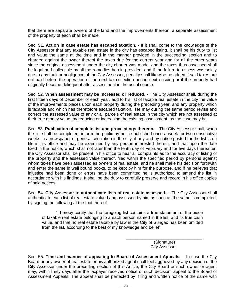that there are separate owners of the land and the improvements thereon, a separate assessment of the property of each shall be made.

Sec. 51. **Action in case estate has escaped taxation. -** If it shall come to the knowledge of the City Assessor that any taxable real estate in the city has escaped listing, it shall be his duty to list and value the same at the time and in the manner provided in the succeeding section and to charged against the owner thereof the taxes due for the current year and for all the other years since the original assessment under the city charter was made, and the taxes thus assessed shall be legal and collectible by all the remedies herein provided, and if the failure to assess was solely due to any fault or negligence of the City Assessor, penalty shall likewise be added if said taxes are not paid before the operation of the next tax collection period next ensuing or if the property had originally become delinquent after assessment in the usual course.

Sec. 52. **When assessment may be increased or reduced. -** The City Assessor shall, during the first fifteen days of December of each year, add to his list of taxable real estate in the city the value of the improvements places upon each property during the preceding year, and any property which is taxable and which has theretofore escaped taxation. He may during the same period revise and correct the assessed value of any or all parcels of real estate in the city which are not assessed at their true money value, by reducing or increasing the existing assessment, as the case may be.

Sec. 53. **Publication of complete list and proceedings thereon.** – The City Assessor shall, when the list shall be completed, inform the public by notice published once a week for two consecutive weeks in a newspaper of general circulation in the city, if any and by notice posted for the list is on file in his office and may be examined by any person interested therein, and that upon the date fixed in the notice, which shall not later than the tenth day of February and for five days thereafter, the City Assessor shall be present in his office to hear all complaints as to the accuracy of listing of the property and the assessed value thereof, filed within the specified period by persons against whom taxes have been assessed as owners of real estate, and he shall make his decision forthwith and enter the same in well bound books, to be kept by him for the purpose, and if he believes that injustice had been done or errors have been committed he is authorized to amend the list in accordance with his findings. It shall be the duty to carefully preserve and record in his office copies of said notices.

Sec. 54. **City Assessor to authenticate lists of real estate assessed.** – The City Assessor shall authenticate each list of real estate valued and assessed by him as soon as the same is completed, by signing the following at the foot thereof:

"I hereby certify that the foregoing list contains a true statement of the piece of taxable real estate belonging to a each person named in the list, and its true cash value, and that no real estate taxable by law in the City of Surigao has been omitted from the list, according to the best of my knowledge and belief".

> \_\_\_\_\_\_\_\_\_\_\_\_\_\_\_\_\_\_\_\_\_\_\_\_\_\_\_\_\_\_\_\_ (Signature) City Assessor

Sec. 55. **Time and manner of appealing to Board of Assessment Appeals.** – In case the City Board or any owner of real estate or his authorized agent shall feel aggrieved by any decision of the City Assessor under the preceding section of this Article, the City Board or such owner or agent may, within thirty days after the taxpayer received notice of such decision, appeal to the Board of Assessment Appeals. The appeal shall be perfected by filing and written notice of the same with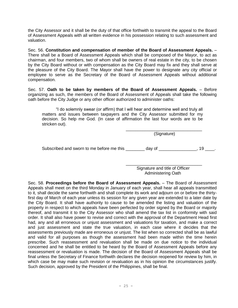the City Assessor and it shall be the duty of that office forthwith to transmit the appeal to the Board of Assessment Appeals with all written evidence in his possession relating to such assessment and valuation.

Sec. 56. **Constitution and compensation of member of the Board of Assessment Appeals.** – There shall be a Board of Assessment Appeals which shall be composed of the Mayor, to act as chairman, and four members, two of whom shall be owners of real estate in the city, to be chosen by the City Board without or with compensation as the City Board may fix and they shall serve at the pleasure of the City Board. The Mayor shall have the power to designate any city official or employee to serve as the Secretary of the Board of Assessment Appeals without additional compensation.

Sec. 57. **Oath to be taken by members of the Board of Assessment Appeals.** – Before organizing as such, the members of the Board of Assessment of Appeals shall take the following oath before the City Judge or any other officer authorized to administer oaths:

"I do solemnly swear (or affirm) that I will hear and determine well and truly all matters and issues between taxpayers and the City Assessor submitted for my decision. So help me God. (In case of affirmation the last four words are to be stricken out).

> \_\_\_\_\_\_\_\_\_\_\_\_\_\_\_\_\_\_\_\_\_\_\_\_\_\_\_\_\_\_\_\_ (Signature)

Subscribed and sworn to me before me this \_\_\_\_\_\_\_ day of \_\_\_\_\_\_\_\_\_\_\_\_\_, 19 \_\_\_\_.

\_\_\_\_\_\_\_\_\_\_\_\_\_\_\_\_\_\_\_\_\_\_\_\_\_\_\_\_\_\_\_\_ Signature and title of Officer Administering Oath

Sec. 58. **Proceedings before the Board of Assessment Appeals.** – The Board of Assessment Appeals shall meet on the third Monday in January of each year, shall hear all appeals transmitted to it, shall decide the same forthwith and shall complete its work and adjourn on or before the thirtyfirst day of March of each year unless its session for any given year are extended to a later date by the City Board. It shall have authority to cause to be amended the listing and valuation of the property in respect to which appeals have been perfected by order signed by the Board or majority thereof, and transmit it to the City Assessor who shall amend the tax list in conformity with said order. It shall also have power to revise and correct with the approval of the Department Head first had, any and all erroneous or unjust assessment and valuations for taxation, and make a correct and just assessment and state the true valuation, in each case where it decides that the assessments previously made are erroneous or unjust. The list when so corrected shall be as lawful and valid for all purposes as though the assessment had been made within the time herein prescribe. Such reassessment and revaluation shall be made on due notice to the individual concerned and he shall be entitled to be heard by the Board of Assessment Appeals before any reassessment or revaluation is made. The decision of the Board of Assessment Appeals shall be final unless the Secretary of Finance forthwith declares the decision reopened for review by him, in which case be may make such revision or revaluation as in his opinion the circumstances justify. Such decision, approved by the President of the Philippines, shall be final.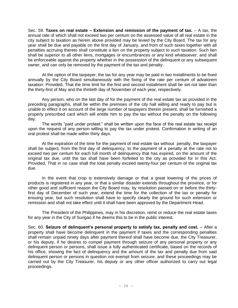Sec. 59. **Taxes on real estate – Extension and remission of the payment of tax.** – A tax, the annual rate of which shall not exceed two per centum on the assessed value of all real estate in the city subject to taxation as herein above provided may be levied by the City Board. The tax for any year shall be due and payable on the first day of January, and from of such taxes together with all penalties accruing thereto shall constitute a lien on the property subject to such taxation. Such lien shall be superior to all other liens, mortgages or encumbrances or any kind whatsoever; and shall be enforceable against the property whether in the possession of the delinquent or any subsequent owner, and can only be removed by the payment of the tax and penalty.

At the option of the taxpayer, the tax for any year may be paid in two installments to be fixed annually by the City Board simultaneously with the fixing of the rate per centum of advalorem taxation: Provided, That the time limit for the first and second installment shall be set not later than the thirty-first of May and the thirtieth day of November of each year, respectively.

Any person, who on the last day of for the payment of the real estate tax as provided in the preceding paragraphs, shall be within the premises of the city hall willing and ready to pay but is unable to effect it on account of the large number of taxpayers therein present, shall be furnished a properly prescribed card which will entitle him to pay the tax without the penalty on the following day.

The words "paid under protest:" shall be written upon the face of the real estate tax receipt upon the request of any person willing to pay the tax under protest. Confirmation in writing of an oral protest shall be made within thirty days.

At the expiration of the time for the payment of real estate tax without penalty, the taxpayer shall be subject, from the first day of delinquency, to the payment of a penalty at the rate not to exceed two per centum for each full month of delinquency that has expired, on the amount of the original tax due, until the tax shall have been forfeited to the city as provided for in this Act: Provided, That in no case shall the total penalty exceed twenty-four per centum of the original tax due.

In the event that crop is extensively damage or that a great lowering of the prices of products is registered in any year, or that a similar disaster extends throughout the province, or for other good and sufficient reason the City Board may, by resolution passed on or before the thirtyfirst day of December of such year, extend the time for the collection of the tax or penalty for ensuing year, but such resolution shall have to specify clearly the ground for such extension or remission and shall not take effect until it shall have been approved by the Department Head.

The President of the Philippines, may in his discretion, remit or reduce the real estate taxes for any year in the City of Surigao if he deems this to be in the public interest.

Sec. 60. **Seizure of delinquent's personal property to satisfy tax, penalty and cost.** – After a property shall have become delinquent in the payment if taxes and the corresponding penalties shall remain unpaid ninety days after payment thereof shall have become due, the City Treasurer, or his deputy, if he desires to compel payment through seizure of any personal property or any delinquent person or persons, shall issue a fully authenticated certificate, based on the records of his office, showing the fact of delinquency and the amount of the tax and penalty due from said delinquent person or persons in question not exempt from seizure, and these proceedings may be carried out by the City Treasurer, his deputy or any other officer authorized to carry out legal proceedings.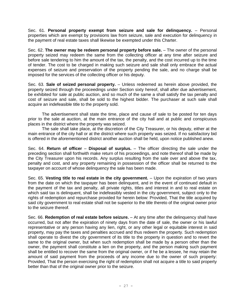Sec. 61. **Personal property exempt from seizure and sale for delinquency.** – Personal properties which are exempt by provisions law from seizure, sale and execution for delinquency in the payment of real estate taxes shall likewise be exempted under this Charter.

Sec. 62. **The owner may be redeem personal property before sale.** – The owner of the personal property seized may redeem the same from the collecting officer at any time after seizure and before sale tendering to him the amount of the tax, the penalty, and the cost incurred up to the time of tender. The cost to be charged in making such seizure and sale shall only embrace the actual expenses of seizure and preservation of the property pending the sale, and no charge shall be imposed for the services of the collecting officer or his deputy.

Sec. 63. **Sale of seized personal property.** – Unless redeemed as herein above provided, the property seized through the proceedings under Section sixty hereof, shall after due advertisement, be exhibited for sale at public auction, and so much of the same a shall satisfy the tax penalty and cost of seizure and sale, shall be sold to the highest bidder. The purchaser at such sale shall acquire an indefeasible title to the property sold.

The advertisement shall state the time, place and cause of sale to be posted for ten days prior to the sale at auction, at the main entrance of the city hall and at public and conspicuous places in the district where the property was seized.

The sale shall take place, at the discretion of the City Treasurer, or his deputy, either at the main entrance of the city hall or at the district where such property was seized. If no satisfactory bid is offered in the aforementioned district another auction shall be held, upon notice published anew.

Sec. 64. **Return of officer** – **Disposal of surplus.** – The officer directing the sale under the preceding section shall forthwith make return of his proceedings, and note thereof shall be made by the City Treasurer upon his records. Any surplus resulting from the sale over and above the tax, penalty and cost, and any property remaining in possession of the officer shall be returned to the taxpayer on account of whose delinquency the sale has been made.

Sec. 65. **Vesting title to real estate in the city government.** – Upon the expiration of two years from the date on which the taxpayer has been delinquent, and in the event of continued default in the payment of the tax and penalty, all private rights, titles and interest in and to real estate on which said tax is delinquent, shall be indefeasibly vested in the city government, subject only to the rights of redemption and repurchase provided for herein below: Provided, That the title acquired by said city government to real estate shall not be superior to the title thereto of the original owner prior to the seizure thereof.

Sec. 66. **Redemption of real estate before seizure.** – At any time after the delinquency shall have occurred, but not after the expiration of ninety days from the date of sale, the owner or his lawful representative or any person having any lien, right, or any other legal or equitable interest in said property, may pay the taxes and penalties accrued and thus redeem the property. Such redemption shall operate to divest the city government of its title to the property in question and to revert the same to the original owner, but when such redemption shall be made by a person other than the owner, the payment shall constitute a lien on the property, and the person making such payment shall be entitled to recover the same from the original owner, or if he be a lessee, he may retain the amount of said payment from the proceeds of any income due to the owner of such property: Provided, That the person exercising the right of redemption shall not acquire a title to said property better than that of the original owner prior to the seizure.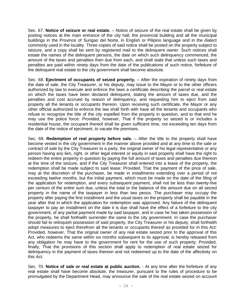Sec. 67. **Notice of seizure or real estate.** – Notice of seizure of the real estate shall be given by posting notices at the main entrance of the city hall, the provincial building and all the municipal buildings in the Province of Surigao del Norte, in English or Pilipino language and in the dialect commonly used in the locality. Three copies of said notice shall be posted on the property subject to seizure, and a copy shall be sent by registered mail to the delinguent owner. Such notices shall estate the names of the delinquent persons, the date on which such delinquency commenced, the amount of the taxes and penalties then due from each, and shall state that unless such taxes and penalties are paid within ninety days from the date of the publications of such notice, forfeiture of the delinquent real estate to the city government shall become absolute.

Sec. 68. **Ejectment of occupants of seized property.** – After the expiration of ninety days from the date of sale, the City Treasurer, or his deputy, may issue to the Mayor or to the other officers authorized by law to execute and enforce the laws a certificate describing the parcel or real estate on which the taxes have been declared delinquent, stating the amount of taxes due, and the penalties and cost accrued by reason of delinquency, and requesting him to eject from said property all the tenants or occupants thereon. Upon receiving such certificate, the Mayor or any other official authorized to enforce the law shall forth with have all the tenants and occupants who refuse to recognize the title of the city expelled from the property in question, and to that end he may use the police force: Provided, however, That if the property so seized is or includes a residential house, the occupant thereof shall be given sufficient time, not exceeding ten days from the date of the notice of ejectment, to vacate the premises.

Sec. 69. **Redemption of real property before sale.** – After the title to the property shall have become vested in the city government in the manner above provided and at any time to the sale or contract of sale by the City Treasurer to a party, the original owner of his legal representative or any person having any lien, right, or other legal interest or equity in said property shall have the right to redeem the entire property in question by paying the full amount of taxes and penalties due thereon at the time of the seizure, and if the City Treasurer shall entered into a lease of the property, the redemption shall be made subject to said lease: Provided, That the payment of the price of sale, may at the discretion of the purchaser, be made in installments extending over a period of not exceeding twelve months, but the initial payment, which must be made on the date of the filing of the application for redemption, and every subsequent payment, shall not be less than twenty-five per centum of the entire sum due, unless the total or the balance of the amount due on all seized property in the name of the taxpayer in less than two pesos. The purchaser may occupy the property after paying the first installment and the usual taxes on the property shall be payable in the year after that in which the application for redemption was approved. Any failure of the delinquent taxpayer to pay an installment on the date it is due shall have the effect of a forfeiture to the city government, of any partial payment made by said taxpayer, and in case he has taken possession of the property, he shall forthwith surrender the same to the city government. In case the purchaser should fail to relinquish possession of said property, the City Treasurer or his deputy, shall forthwith adopt measures to eject therefrom all the tenants or occupants thereof as provided for in this Act: Provided, however, That the original owner of any real estate seized prior to the approval of this Act, who redeems the same within six months subsequent to its approval, is hereby released from any obligation he may have to the government for rent for the use of such property: Provided, finally, That the provisions of this section shall apply to redemption of real estate seized for delinquency in the payment of taxes thereon and not redeemed up to the date of the affectivity on this Act.

Sec. 70. **Notice of sale or real estate at public auction.** - At any time after the forfeiture of any real estate shall have become absolute, the treasurer, pursuant to the rules of procedure to be promulgated by the Department Head, may announce the sale of the real estate seized on account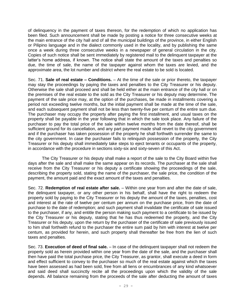of delinquency in the payment of taxes thereon, for the redemption of which no application has been filed. Such announcement shall be made by posting a notice for three consecutive weeks at the main entrance of the city hall and of all the municipal buildings of the province, in either English or Pilipino language and in the dialect commonly used in the locality, and by publishing the same once a week during three consecutive weeks in a newspaper of general circulation in the city. Copies of such notice shall be sent immediately by registered mail to the delinquent taxpayer at the latter's home address, if known. The notice shall state the amount of the taxes and penalties so due, the time of sale, the name of the taxpayer against whom the taxes are levied, and the approximate area, the lot number and district where the real estate to be sold is located.

Sec. 71. **Sale of real estate – Conditions.** – At the time of the sale or prior thereto, the taxpayer may stay the proceedings by paying the taxes and penalties to the City Treasurer or his deputy. Otherwise the sale shall proceed and shall be held either at the main entrance of the city hall or on the premises of the real estate to the sold as the City Treasurer or his deputy may determine. The payment of the sale price may, at the option of the purchases, be made in installments covering a period not exceeding twelve months, but the initial payment shall be made at the time of the sale, and each subsequent payment shall not be less than twenty-five per centum of the entire sum due. The purchaser may occupy the property after paying the first installment, and usual taxes on the property shall be payable in the year following that in which the sale took place. Any failure of the purchaser to pay the total price of the sale within twelve months from the date thereof, shall be sufficient ground for its cancellation, and any part payment made shall revert to the city government and if the purchaser has taken possession of the property he shall forthwith surrender the same to the city government. In case the purchaser fails to relinquish possession of the property, the City Treasurer or his deputy shall immediately take steps to eject tenants or occupants of the property, in accordance with the procedure in sections sixty-six and sixty-seven of this Act.

The City Treasurer or his deputy shall make a report of the sale to the City Board within five days after the sale and shall make the same appear on its records. The purchaser at the sale shall receive from the City Treasurer or his deputy a certificate showing the proceedings of the sale, describing the property sold, stating the name of the purchaser, the sale price, the condition of the payment, the amount paid and the exact amount of the taxes and penalties.

Sec. 72. **Redemption of real estate after sale.** – Within one year from and after the date of sale, the delinquent taxpayer, or any other person in his behalf, shall have the right to redeem the property sold by paying to the City Treasurer or his deputy the amount of the taxes, penalties, cost and interest at the rate of twelve per centum per annum on the purchase price, from the date of purchase to the date of redemption; and such payment shall invalidate the certificate of sale issued to the purchaser, if any, and entitle the person making such payment to a certificate to be issued by the City Treasurer or his deputy, stating that he has thus redeemed the property, and the City Treasurer or his deputy, upon the return by the purchaser of the certificate of sale previously issued to him shall forthwith refund to the purchaser the entire sum paid by him with interest at twelve per centum, as provided for herein, and such property shall thereafter be free from the lien of such taxes and penalties.

Sec. 73. **Execution of deed of final sale.** – In case of the delinquent taxpayer shall not redeem the property sold as herein provided within one year from the date of the sale, and the purchaser shall then have paid the total purchase price, the City Treasurer, as grantor, shall execute a deed in form and effect sufficient to convey to the purchaser so much of the real estate against which the taxes have been assessed as had been sold, free from all liens or encumbrances of any kind whatsoever and said deed shall succinctly recite all the proceedings upon which the validity of the sale depends. All balance remaining from the proceeds of the sale after deducting the amount of taxes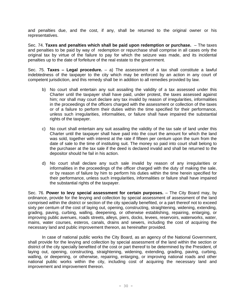and penalties due, and the cost, if any, shall be returned to the original owner or his representatives.

Sec. 74. **Taxes and penalties which shall be paid upon redemption or purchase.** – The taxes and penalties to be paid by way of redemption or repurchase shall comprise in all cases only the original tax by virtue of the failure to pay for which the seizure was made, and its incidental penalties up to the date of forfeiture of the real estate to the government.

Sec. 75. **Taxes – Legal procedure.** – a) The assessment of a tax shall constitute a lawful indebtedness of the taxpayer to the city which may be enforced by an action in any court of competent jurisdiction, and this remedy shall be in addition to all remedies provided by law.

- b) No court shall entertain any suit assailing the validity of a tax assessed under this Charter until the taxpayer shall have paid, under protest, the taxes assessed against him; nor shall may court declare any tax invalid by reason of irregularities, informalities in the proceedings of the officers charged with the assessment or collection of the taxes or of a failure to perform their duties within the time specified for their performance, unless such irregularities, informalities, or failure shall have impaired the substantial rights of the taxpayer.
- c) No court shall entertain any suit assailing the validity of the tax sale of land under this Charter until the taxpayer shall have paid into the court the amount for which the land was sold, together with interest at the rate if fifteen per centum upon the sum from the date of sale to the time of instituting suit. The money so paid into court shall belong to the purchaser at the tax sale if the deed is declared invalid and shall be returned to the depositor should he fail in his action.
- d) No court shall declare any such sale invalid by reason of any irregularities or informalities in the proceedings of the officer charged with the duty of making the sale, or by reason of failure by him to perform his duties within the time herein specified for their performance, unless such irregularities, informalities or failure shall have impaired the substantial rights of the taxpayer.

Sec. 76. **Power to levy special assessment for certain purposes.** – The City Board may, by ordinance, provide for the levying and collection by special assessment of assessment of the land comprised within the district or section of the city specially benefited, or a part thereof not to exceed sixty per centum of the cost of laying out, opening, constructing, straightening, widening, extending, grading, paving, curbing, walling, deepening, or otherwise establishing, repairing, enlarging, or improving public avenues, roads streets, alleys, piers, docks, levees, reservoirs, waterworks, water, mains, water courses, esteros, canals, drains and sewers, including the cost of acquiring the necessary land and public improvement thereon, as hereinafter provided.

In case of national public works the City Board, as an agency of the National Government, shall provide for the levying and collection by special assessment of the land within the section or district of the city specially benefited of the cost or part thereof to be determined by the President, of laying out, opening, constructing, straightening, widening, extending, grading, paving, curbing, walling, or deepening, or otherwise, repairing, enlarging, or improving national roads and other national public works within the city, including cost of acquiring the necessary land and improvement and improvement thereon.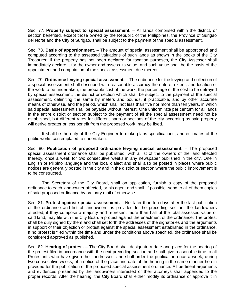Sec. 77. **Property subject to special assessment.** – All lands comprised within the district, or section benefited, except those owned by the Republic of the Philippines, the Province of Surigao del Norte and the City of Surigao, shall be subject to the payment of the special assessment.

Sec. 78. **Basis of apportionment.** – The amount of special assessment shall be apportioned and computed according to the assessed valuations of such lands as shown in the books of the City Treasurer. If the property has not been declared for taxation purposes, the City Assessor shall immediately declare it for the owner and assess its value, and such value shall be the basis of the appointment and computation of the special assessment due thereon.

Sec. 79. **Ordinance levying special assessment.** – The ordinance for the levying and collection of a special assessment shall described with reasonable accuracy the nature, extent, and location of the work to be undertaken; the probable cost of the work; the percentage of the cost to be defrayed by special assessment; the district or section which shall be subject to the payment of the special assessment, delimiting the same by meters and bounds, if practicable, and by other accurate means of otherwise, and the period, which shall not less than five nor more than ten years, in which said special assessment shall be payable without interest. One uniform rate per centum for all lands in the entire district or section subject to the payment of all the special assessment need not be established, but different rates for different parts or sections of the city according as said property will derive greater or less benefit from the proposed work, may be fixed.

It shall be the duty of the City Engineer to make plans specifications, and estimates of the public works contemplated to undertaken.

Sec. 80. **Publication of proposed ordinance levying special assessment.** – The proposed special assessment ordinance shall be published, with a list of the owners of the land affected thereby, once a week for two consecutive weeks in any newspaper published in the city. One in English or Pilipino language and the local dialect and shall also be posted in places where public notices are generally posted in the city and in the district or section where the public improvement is to be constructed.

The Secretary of the City Board, shall on application, furnish a copy of the proposed ordinance to each land-owner affected, or his agent and shall, if possible, send to all of them copies of said proposed ordinance by ordinary mail of otherwise.

Sec. 81. **Protest against special assessment.** – Not later than ten days after the last publication of the ordinance and list of landowners as provided In the preceding section, the landowners affected, if they compose a majority and represent more than half of the total assessed value of said land, may file with the City Board a protest against the enactment of the ordinance. The protest shall be duly signed by them and shall set forth the addresses of the signatories and the arguments in support of their objection or protest against the special assessment established in the ordinance. If no protest is filed within the time and under the conditions above specified, the ordinance shall be considered approved as published.

Sec. 82. **Hearing of protest.** – The City Board shall designate a date and place for the hearing of the protest filed in accordance with the next preceding section and shall give reasonable time to all Protestants who have given their addresses, and shall order the publication once a week, during two consecutive weeks, of a notice of the place and date of the hearing in the same manner herein provided for the publication of the proposed special assessment ordinance. All pertinent arguments and evidences presented by the landowners interested or their attorneys shall appended to the proper records. After the hearing, the City Board shall either modify its ordinance or approve it in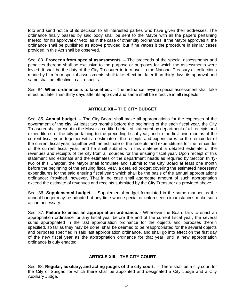toto and send notice of its decision to all interested parties who have given their addresses. The ordinance finally passed by said body shall be sent to the Mayor with all the papers pertaining thereto, for his approval or veto, as in the case of other city ordinances. If the Mayor approves it, the ordinance shall be published as above provided, but if he vetoes it the procedure in similar cases provided in this Act shall be observed.

Sec. 83. **Proceeds from special assessments.** – The proceeds of the special assessments and penalties thereon shall be exclusive to the purpose or purposes for which the assessments were levied. It shall be the duty of the City Treasurer to turn over to the National Treasury all collections made by him from special assessments shall take effect not later than thirty days its approval and same shall be effective in all respects.

Sec. 84. **When ordinance is to take effect.** – The ordinance levying special assessment shall take effect not later than thirty days after its approval and same shall be effective in all respects.

#### **ARTICLE XII – THE CITY BUDGET**

Sec. 85. **Annual budget.** – The City Board shall make all appropriations for the expenses of the government of the city. At least two months before the beginning of the each fiscal year, the City Treasurer shall present to the Mayor a certified detailed statement by department of all receipts and expenditures of the city pertaining to the preceding fiscal year, and to the first nine months of the current fiscal year, together with an estimate of the receipts and expenditures for the remainder of the current fiscal year, together with an estimate of the receipts and expenditures for the remainder of the current fiscal year; and he shall submit with this statement a detailed estimate of the revenues and receipts of the city from all sources for the ensuing fiscal year. Upon receipt of this statement and estimate and the estimates of the department heads as required by Section thirtytwo of this Chapter, the Mayor shall formulate and submit to the City Board at least one month before the beginning of the ensuing fiscal year, a detailed budget covering the estimated necessary expenditures for the said ensuing fiscal year; which shall be the basis of the annual appropriations ordinance: Provided, however, That in no case shall aggregate amount of such appropriation exceed the estimate of revenues and receipts submitted by the City Treasurer as provided above.

Sec. 86. **Supplemental budget.** – Supplemental budget formulated in the same manner as the annual budget may be adopted at any time when special or unforeseen circumstances make such action necessary.

Sec. 87. **Failure to enact an appropriation ordinance.** - Whenever the Board fails to enact an appropriation ordinance for any fiscal year before the end of the current fiscal year, the several sums appropriated in the last appropriation ordinance for the objects and purposes therein specified, so far as they may be done, shall be deemed to be reappropriated for the several objects and purposes specified in said last appropriation ordinance, and shall go into effect on the first day of the new fiscal year as the appropriation ordinance for that year, until a new appropriation ordinance is duly enacted.

#### **ARTICLE XIII – THE CITY COURT**

Sec. 88. **Regular, auxiliary, and acting judges of the city court.** – There shall be a city court for the City of Surigao for which there shall be appointed and designated a City Judge and a City Auxiliary Judge.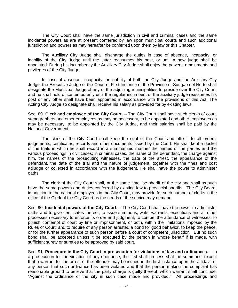The City Court shall have the same jurisdiction in civil and criminal cases and the same incidental powers as are at present conferred by law upon municipal courts and such additional jurisdiction and powers as may hereafter be conferred upon them by law or this Chapter.

The Auxiliary City Judge shall discharge the duties in case of absence, incapacity, or inability of the City Judge until the latter reassumes his post, or until a new judge shall be appointed. During his incumbency the Auxiliary City Judge shall enjoy the powers, emoluments and privileges of the City Judge.

In case of absence, incapacity, or inability of both the City Judge and the Auxiliary City Judge, the Executive Judge of the Court of First Instance of the Province of Surigao del Norte shall designate the Municipal Judge of any of the adjoining municipalities to preside over the City Court, and he shall hold office temporarily until the regular incumbent or the auxiliary judge reassumes his post or any other shall have been appointed in accordance with the provisions of this Act. The Acting City Judge so designate shall receive his salary as provided for by existing laws.

Sec. 89. **Clerk and employee of the City Court.** – The City Court shall have such clerks of court, stenographers and other employees as may be necessary, to be appointed and other employees as may be necessary, to be appointed by the City Judge, and their salaries shall be paid by the National Government.

The clerk of the City Court shall keep the seal of the Court and affix it to all orders, judgements, certificates, records and other documents issued by the Court. He shall kept a docket of the trials in which he shall record in a summarized manner the names of the parties and the various proceedings in civil cases; in criminal cases, the name of the defendant, the charge against him, the names of the prosecuting witnesses, the date of the arrest, the appearance of the defendant, the date of the trial and the nature of judgement, together with the fines and cost adjudge or collected in accordance with the judgement. He shall have the power to administer oaths.

The clerk of the City Court shall, at the same time, be sheriff of the city and shall as such have the same powers and duties conferred by existing law to provincial sheriffs. The City Board, in addition to the national employees in the City Court, may provide for such number of clerks in the office of the Clerk of the City Court as the needs of the service may demand.

Sec. 90. **Incidental powers of the City Court. –** The City Court shall have the power to administer oaths and to give certificates thereof; to issue summons, writs, warrants, executions and all other processes necessary to enforce its order and judgment; to compel the attendance of witnesses; to punish contempt of court by fine or imprisonment, or both, within the limitations imposed by the Rules of Court; and to require of any person arrested a bond for good behavior, to keep the peace, or for the further appearance of such person before a court of competent jurisdiction. But no such bond shall be accepted unless it be executed by the person in whose behalf if is made, with sufficient surety or sureties to be approved by said court.

Sec. 91. **Procedure in the City Court in prosecution for violations of law and ordinances. –** In a prosecution for the violation of any ordinance, the first shall process shall be summons; except that a warrant for the arrest of the offender may be issued in the first instance upon the affidavit of any person that such ordinance has been violated and that the person making the complaint has reasonable ground to believe that the party charge is guilty thereof, which warrant shall conclude: "Against the ordinance of the city in such case made and provided." All proceedings and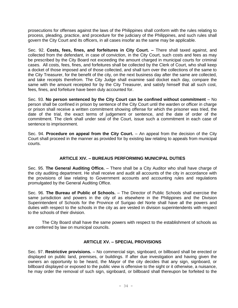prosecutions for offenses against the laws of the Philippines shall conform with the rules relating to process, pleading, practice, and procedure for the judiciary of the Philippines, and such rules shall govern the City Court and its officers, in all cases insofar as the same may be applicable.

Sec. 92. **Costs, fees, fines, and forfeitures in City Court. –** There shall taxed against, and collected from the defendant, in case of conviction, in the City Court, such costs and fees as may be prescribed by the City Board not exceeding the amount charged in municipal courts for criminal cases. All costs, fees, fines, and forfeitures shall be collected by the Clerk of Court, who shall keep a docket of those imposed and of those collected, and shall turn over the collections of the same to the City Treasurer, for the benefit of the city, on the next business day after the same are collected, and take receipts therefrom. The City Judge shall examine said docket each day, compare the same with the amount receipted for by the City Treasurer, and satisfy himself that all such cost, fees, fines, and forfeiture have been duly accounted for.

Sec. 93. **No person sentenced by the City Court can be confined without commitment** – No person shall be confined in prison by sentence of the City Court until the warden or officer in charge or prison shall receive a written commitment showing offense for which the prisoner was tried, the date of the trial, the exact terms of judgement or sentence, and the date of order of the commitment. The clerk shall under seal of the Court, issue such a commitment in each case of sentence to imprisonment.

Sec. 94. **Procedure on appeal from the City Court.** – An appeal from the decision of the City Court shall proceed in the manner as provided for by existing law relating to appeals from municipal courts.

#### **ARTICLE XIV. – BUREAUS PERFORMING MUNICIPAL DUTIES**

Sec. 95. **The General Auditing Office.** – There shall be a City Auditor who shall have charge of the city auditing department. He shall receive and audit all accounts of the city in accordance with the provisions of law relating to Government accounts and accounting rules and regulations promulgated by the General Auditing Office.

Sec. 96. **The Bureau of Public of Schools.** – The Director of Public Schools shall exercise the same jurisdiction and powers in the city of as elsewhere in the Philippines and the Division Superintendent of Schools for the Province of Surigao del Norte shall have all the powers and duties with respect to the schools in the city as are vested in division superintendents with respect to the schools of their division.

The City Board shall have the same powers with respect to the establishment of schools as are conferred by law on municipal councils.

#### **ARTICLE XV. – SPECIAL PROVISIONS**

Sec. 97. **Restrictive provisions.** – No commercial sign, signboard, or billboard shall be erected or displayed on public land, premises, or buildings. If after due investigation and having given the owners an opportunity to be heard, the Mayor of the city decides that any sign, signboard, or billboard displayed or exposed to the public view is offensive to the sight or it otherwise, a nuisance, he may order the removal of such sign, signboard, or billboard shall thereupon be forfeited to the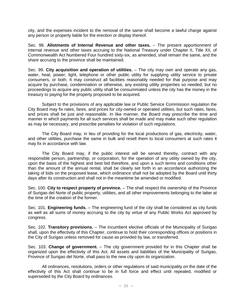city, and the expenses incident to the removal of the same shall become a lawful charge against any person or property liable for the erection or display thereof.

Sec. 98. **Allotments of Internal Revenue and other taxes.** – The present apportionment of internal revenue and other taxes accruing to the National Treasury under Chapter II, Title XII, of Commonwealth Act Numbered Four hundred sixty-six, as amended, shall remain the same, and the share accruing to the province shall be maintained.

Sec. 99. **City acquisition and operation of utilities.** – The city may own and operate any gas, water, heat, power, light, telephone or other public utility for supplying utility service to private consumers, or both. It may construct all facilities reasonably needed for that purpose and may acquire by purchase, condemnation or otherwise, any existing utility properties so needed; but no proceedings to acquire any public utility shall be consummated unless the city has the money in the treasury to paying for the property proposed to be acquired.

Subject to the provisions of any applicable law or Public Service Commission regulation the City Board may fix rates, fares, and prices for city-owned or operated utilities, but such rates, fares, and prices shall be just and reasonable. In like manner, the Board may prescribe the time and manner in which payments for all such services shall be made and may make such other regulation as may be necessary, and prescribe penalties for violation of such regulations.

The City Board may, in lieu of providing for the local productions of gas, electricity, water, and other utilities, purchase the same in bulk and resell them to local consumers at such rates it may fix in accordance with law.

The City Board may, if the public interest will be served thereby, contract with any responsible person, partnership, or corporation, for the operation of any utility owned by the city, upon the basis of the highest and best bid therefore, and upon a such terms and conditions other than the amount of the annual rental, shall be clearly set forth in an accordance authorizing the taking of bids on the proposed lease, which ordinance shall not be adopted by the Board until thirty days after its construction and shall not in the meantime be amended or modified.

Sec. 100. **City to respect property of province.** – The shall respect the ownership of the Province of Surigao del Norte of public property, utilities, and all other improvements belonging to the latter at the time of the creation of the former.

Sec. 101. **Engineering funds.** – The engineering fund of the city shall be considered as city funds as well as all sums of money accruing to the city by virtue of any Public Works Act approved by congress.

Sec. 102. **Transitory provisions.** – The incumbent elective officials of the Municipality of Surigao shall, upon the effectivity of this Chapter, continue to hold their corresponding offices or positions in the City of Surigao unless removed for cause as provided by law, or transferred.

Sec. 103. **Change of government.** – The city government provided for in this Chapter shall be organized upon the effectivity of this Act. All assets and liabilities of the Municipality of Surigao, Province of Surigao del Norte, shall pass to the new city upon its organization.

All ordinances, resolutions, orders or other regulations of said municipality on the date of the effectivity of this Act shall continue to be in full force and effect until repealed, modified or superseded by the City Board by ordinances.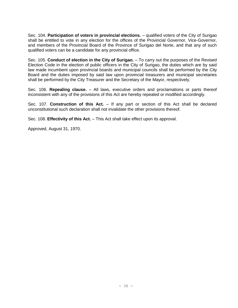Sec. 104. **Participation of voters in provincial elections.** – qualified voters of the City of Surigao shall be entitled to vote in any election for the offices of the Provincial Governor, Vice-Governor, and members of the Provincial Board of the Province of Surigao del Norte, and that any of such qualified voters can be a candidate for any provincial office.

Sec. 105. **Conduct of election in the City of Surigao.** – To carry out the purposes of the Revised Election Code in the election of public officers in the City of Surigao, the duties which are by said law made incumbent upon provincial boards and municipal councils shall be performed by the City Board and the duties imposed by said law upon provincial treasurers and municipal secretaries shall be performed by the City Treasurer and the Secretary of the Mayor, respectively.

Sec. 106. **Repealing clause.** – All laws, executive orders and proclamations or parts thereof inconsistent with any of the provisions of this Act are hereby repealed or modified accordingly.

Sec. 107. **Construction of this Act.** – If any part or section of this Act shall be declared unconstitutional such declaration shall not invalidate the other provisions thereof.

Sec. 108. **Effectivity of this Act.** – This Act shall take effect upon its approval.

Approved, August 31, 1970.